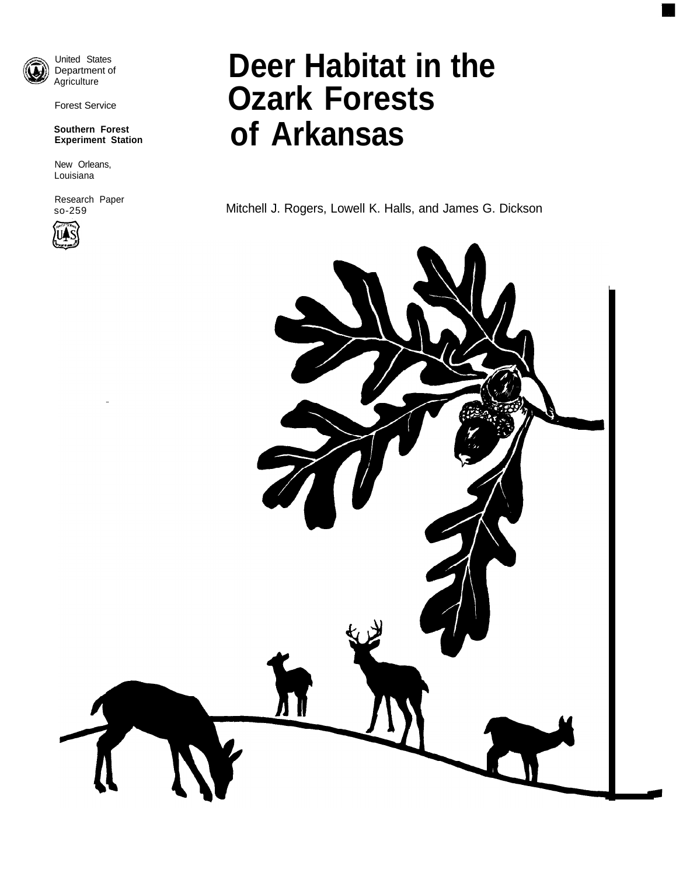

United States Department of Agriculture

Forest Service

## **Southern Forest Experiment Station**

New Orleans, Louisiana

Research Paper so-259



# **Deer Habitat in the Ozark Forests of Arkansas**

Mitchell J. Rogers, Lowell K. Halls, and James G. Dickson

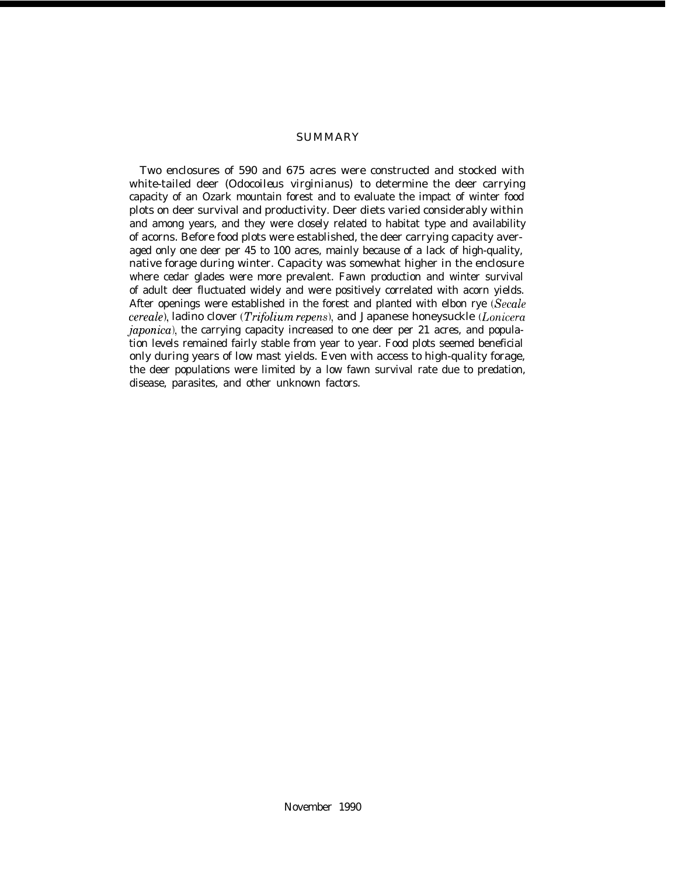## SUMMARY

Two enclosures of 590 and 675 acres were constructed and stocked with white-tailed deer *(Odocoileus virginianus)* to determine the deer carrying capacity of an Ozark mountain forest and to evaluate the impact of winter food plots on deer survival and productivity. Deer diets varied considerably within and among years, and they were closely related to habitat type and availability of acorns. Before food plots were established, the deer carrying capacity averaged only one deer per 45 to 100 acres, mainly because of a lack of high-quality, native forage during winter. Capacity was somewhat higher in the enclosure where cedar glades were more prevalent. Fawn production and winter survival of adult deer fluctuated widely and were positively correlated with acorn yields. After openings were established in the forest and planted with elbon rve (Secale *cereale),* ladino clover *(Trifolium repens),* and Japanese honeysuckle *(Lonicera japonica),* the carrying capacity increased to one deer per 21 acres, and population levels remained fairly stable from year to year. Food plots seemed beneficial only during years of low mast yields. Even with access to high-quality forage, the deer populations were limited by a low fawn survival rate due to predation, disease, parasites, and other unknown factors.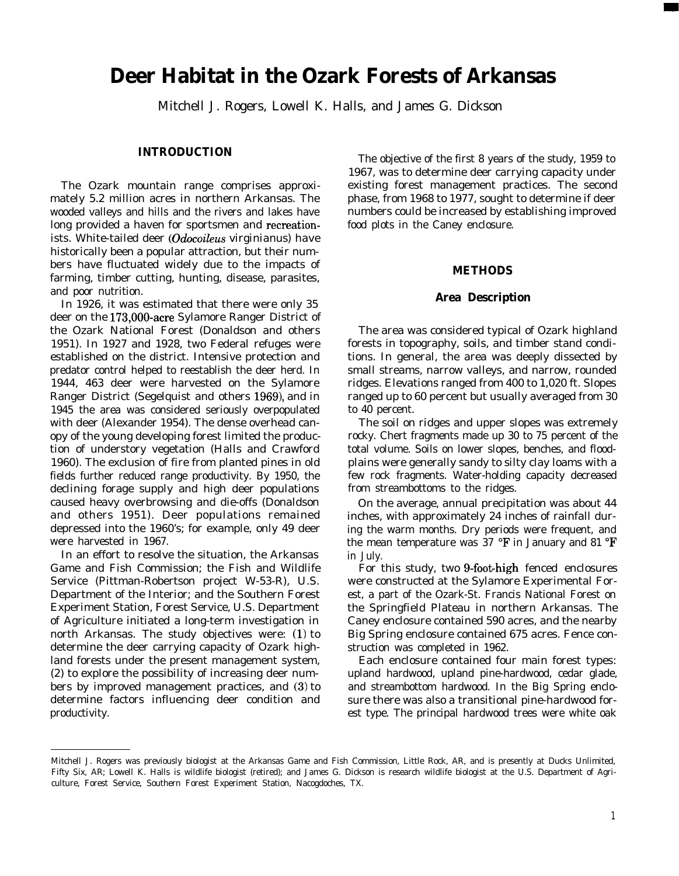## **Deer Habitat in the Ozark Forests of Arkansas**

Mitchell J. Rogers, Lowell K. Halls, and James G. Dickson

## **INTRODUCTION**

The Ozark mountain range comprises approximately 5.2 million acres in northern Arkansas. The wooded valleys and hills and the rivers and lakes have long provided a haven for sportsmen and recreationists. White-tailed deer (Odocoileus virginianus) have historically been a popular attraction, but their numbers have fluctuated widely due to the impacts of farming, timber cutting, hunting, disease, parasites, and poor nutrition.

In 1926, it was estimated that there were only 35 deer on the 173,000-acre Sylamore Ranger District of the Ozark National Forest (Donaldson and others 1951). In 1927 and 1928, two Federal refuges were established on the district. Intensive protection and predator control helped to reestablish the deer herd. In 1944, 463 deer were harvested on the Sylamore Ranger District (Segelquist and others 1969), and in 1945 the area was considered seriously overpopulated with deer (Alexander 1954). The dense overhead canopy of the young developing forest limited the production of understory vegetation (Halls and Crawford 1960). The exclusion of fire from planted pines in old fields further reduced range productivity. By 1950, the declining forage supply and high deer populations caused heavy overbrowsing and die-offs (Donaldson and others 1951). Deer populations remained depressed into the 1960's; for example, only 49 deer were harvested in 1967.

In an effort to resolve the situation, the Arkansas Game and Fish Commission; the Fish and Wildlife Service (Pittman-Robertson project W-53-R), U.S. Department of the Interior; and the Southern Forest Experiment Station, Forest Service, U.S. Department of Agriculture initiated a long-term investigation in north Arkansas. The study objectives were: (1) to determine the deer carrying capacity of Ozark highland forests under the present management system, (2) to explore the possibility of increasing deer numbers by improved management practices, and (3) to determine factors influencing deer condition and productivity.

The objective of the first 8 years of the study, 1959 to 1967, was to determine deer carrying capacity under existing forest management practices. The second phase, from 1968 to 1977, sought to determine if deer numbers could be increased by establishing improved food plots in the Caney enclosure.

## **METHODS**

#### **Area Description**

The area was considered typical of Ozark highland forests in topography, soils, and timber stand conditions. In general, the area was deeply dissected by small streams, narrow valleys, and narrow, rounded ridges. Elevations ranged from 400 to 1,020 ft. Slopes ranged up to 60 percent but usually averaged from 30 to 40 percent.

The soil on ridges and upper slopes was extremely rocky. Chert fragments made up 30 to 75 percent of the total volume. Soils on lower slopes, benches, and floodplains were generally sandy to silty clay loams with a few rock fragments. Water-holding capacity decreased from streambottoms to the ridges.

On the average, annual precipitation was about 44 inches, with approximately 24 inches of rainfall during the warm months. Dry periods were frequent, and the mean temperature was 37 "F in January and 81 "F in July.

For this study, two 9-foot-high fenced enclosures were constructed at the Sylamore Experimental Forest, a part of the Ozark-St. Francis National Forest on the Springfield Plateau in northern Arkansas. The Caney enclosure contained 590 acres, and the nearby Big Spring enclosure contained 675 acres. Fence construction was completed in 1962.

Each enclosure contained four main forest types: upland hardwood, upland pine-hardwood, cedar glade, and streambottom hardwood. In the Big Spring enclosure there was also a transitional pine-hardwood forest type. The principal hardwood trees were white oak

Mitchell J. Rogers was previously biologist at the Arkansas Game and Fish Commission, Little Rock, AR, and is presently at Ducks Unlimited, Fifty Six, AR; Lowell K. Halls is wildlife biologist (retired); and James G. Dickson is research wildlife biologist at the U.S. Department of Agriculture, Forest Service, Southern Forest Experiment Station, Nacogdoches, TX.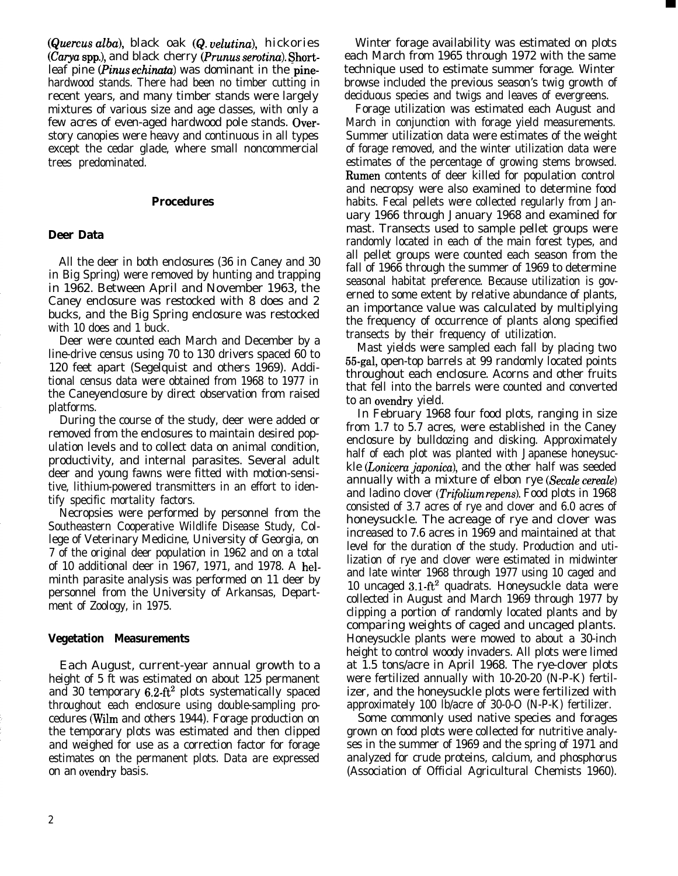(Quercus alba), black oak (Q. uelutina), hickories (Carya spp.), and black cherry (Prunus serotina). Shortleaf pine (*Pinus echinata*) was dominant in the pinehardwood stands. There had been no timber cutting in recent years, and many timber stands were largely mixtures of various size and age classes, with only a few acres of even-aged hardwood pole stands. Overstory canopies were heavy and continuous in all types except the cedar glade, where small noncommercial trees predominated.

## **Procedures**

## **Deer Data**

All the deer in both enclosures (36 in Caney and 30 in Big Spring) were removed by hunting and trapping in 1962. Between April and November 1963, the Caney enclosure was restocked with 8 does and 2 bucks, and the Big Spring enclosure was restocked with 10 does and 1 buck.

Deer were counted each March and December by a line-drive census using 70 to 130 drivers spaced 60 to 120 feet apart (Segelquist and others 1969). Additional census data were obtained from 1968 to 1977 in the Caneyenclosure by direct observation from raised platforms.

During the course of the study, deer were added or removed from the enclosures to maintain desired population levels and to collect data on animal condition, productivity, and internal parasites. Several adult deer and young fawns were fitted with motion-sensitive, lithium-powered transmitters in an effort to identify specific mortality factors.

Necropsies were performed by personnel from the Southeastern Cooperative Wildlife Disease Study, College of Veterinary Medicine, University of Georgia, on 7 of the original deer population in 1962 and on a total of 10 additional deer in 1967, 1971, and 1978. A helminth parasite analysis was performed on 11 deer by personnel from the University of Arkansas, Department of Zoology, in 1975.

## **Vegetation Measurements**

Each August, current-year annual growth to a height of 5 ft was estimated on about 125 permanent and 30 temporary  $6.2$ -ft<sup>2</sup> plots systematically spaced throughout each enclosure using double-sampling procedures (Wilm and others 1944). Forage production on the temporary plots was estimated and then clipped and weighed for use as a correction factor for forage estimates on the permanent plots. Data are expressed on an ovendry basis.

Winter forage availability was estimated on plots each March from 1965 through 1972 with the same technique used to estimate summer forage. Winter browse included the previous season's twig growth of deciduous species and twigs and leaves of evergreens.

Forage utilization was estimated each August and March in conjunction with forage yield measurements. Summer utilization data were estimates of the weight of forage removed, and the winter utilization data were estimates of the percentage of growing stems browsed. Rumen contents of deer killed for population control and necropsy were also examined to determine food habits. Fecal pellets were collected regularly from January 1966 through January 1968 and examined for mast. Transects used to sample pellet groups were randomly located in each of the main forest types, and all pellet groups were counted each season from the fall of 1966 through the summer of 1969 to determine seasonal habitat preference. Because utilization is governed to some extent by relative abundance of plants, an importance value was calculated by multiplying the frequency of occurrence of plants along specified transects by their frequency of utilization.

Mast yields were sampled each fall by placing two 55-gal, open-top barrels at 99 randomly located points throughout each enclosure. Acorns and other fruits that fell into the barrels were counted and converted to an ovendry yield.

In February 1968 four food plots, ranging in size from 1.7 to 5.7 acres, were established in the Caney enclosure by bulldozing and disking. Approximately half of each plot was planted with Japanese honeysuckle *(Lonicera japonica)*, and the other half was seeded annually with a mixture of elbon rye (Secale cereale) and ladino clover *(Trifolium repens).* Food plots in 1968 consisted of 3.7 acres of rye and clover and 6.0 acres of honeysuckle. The acreage of rye and clover was increased to 7.6 acres in 1969 and maintained at that level for the duration of the study. Production and utilization of rye and clover were estimated in midwinter and late winter 1968 through 1977 using 10 caged and 10 uncaged  $3.1-ft^2$  quadrats. Honeysuckle data were collected in August and March 1969 through 1977 by clipping a portion of randomly located plants and by comparing weights of caged and uncaged plants. Honeysuckle plants were mowed to about a 30-inch height to control woody invaders. All plots were limed at 1.5 tons/acre in April 1968. The rye-clover plots were fertilized annually with 10-20-20 (N-P-K) fertilizer, and the honeysuckle plots were fertilized with approximately 100 lb/acre of 30-0-O (N-P-K) fertilizer.

Some commonly used native species and forages grown on food plots were collected for nutritive analyses in the summer of 1969 and the spring of 1971 and analyzed for crude proteins, calcium, and phosphorus (Association of Official Agricultural Chemists 1960).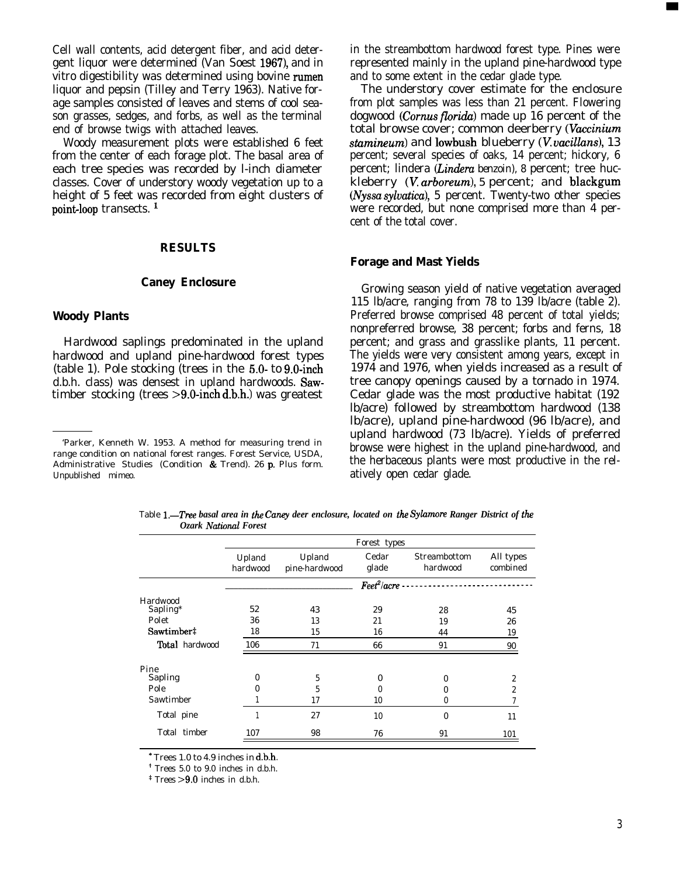Cell wall contents, acid detergent fiber, and acid detergent liquor were determined (Van Soest 1967), and in vitro digestibility was determined using bovine rumen liquor and pepsin (Tilley and Terry 1963). Native forage samples consisted of leaves and stems of cool season grasses, sedges, and forbs, as well as the terminal end of browse twigs with attached leaves.

Woody measurement plots were established 6 feet from the center of each forage plot. The basal area of each tree species was recorded by l-inch diameter classes. Cover of understory woody vegetation up to a height of 5 feet was recorded from eight clusters of point-loop transects.<sup>1</sup>

## **RESULTS**

## **Caney Enclosure**

## **Woody Plants**

Hardwood saplings predominated in the upland hardwood and upland pine-hardwood forest types (table 1). Pole stocking (trees in the 5.0- to 9.0-inch d.b.h. class) was densest in upland hardwoods. Sawtimber stocking (trees  $>9.0$ -inch d.b.h.) was greatest

in the streambottom hardwood forest type. Pines were represented mainly in the upland pine-hardwood type and to some extent in the cedar glade type.

The understory cover estimate for the enclosure from plot samples was less than 21 percent. Flowering dogwood *(Cornus florida)* made up 16 percent of the total browse cover; common deerberry *(Vaccinium* stamineum) and lowbush blueberry (V. vacillans), 13 percent; several species of oaks, 14 percent; hickory, 6 percent; lindera *(Linderu benzoin), 8* percent; tree huckleberry (V. *arboreum), 5* percent; and blackgum (Nyssa sylvatica), 5 percent. Twenty-two other species were recorded, but none comprised more than 4 percent of the total cover.

#### **Forage and Mast Yields**

Growing season yield of native vegetation averaged 115 lb/acre, ranging from 78 to 139 lb/acre (table 2). Preferred browse comprised 48 percent of total yields; nonpreferred browse, 38 percent; forbs and ferns, 18 percent; and grass and grasslike plants, 11 percent. The yields were very consistent among years, except in 1974 and 1976, when yields increased as a result of tree canopy openings caused by a tornado in 1974. Cedar glade was the most productive habitat (192 lb/acre) followed by streambottom hardwood (138 lb/acre), upland pine-hardwood (96 lb/acre), and upland hardwood (73 lb/acre). Yields of preferred browse were highest in the upland pine-hardwood, and the herbaceous plants were most productive in the relatively open cedar glade.

|                       |                    | Forest types            |                  |                          |                       |  |  |  |  |
|-----------------------|--------------------|-------------------------|------------------|--------------------------|-----------------------|--|--|--|--|
|                       | Upland<br>hardwood | Upland<br>pine-hardwood | Cedar<br>glade   | Streambottom<br>hardwood | All types<br>combined |  |  |  |  |
|                       |                    |                         | $Fee^{2}/acre -$ |                          |                       |  |  |  |  |
| Hardwood              |                    |                         |                  |                          |                       |  |  |  |  |
| Sapling*              | 52                 | 43                      | 29               | 28                       | 45                    |  |  |  |  |
| Polet                 | 36                 | 13                      | 21               | 19                       | 26                    |  |  |  |  |
| Sawtimber#            | 18                 | 15                      | 16               | 44                       | 19                    |  |  |  |  |
| <b>Total</b> hardwood | 106                | 71                      | 66               | 91                       | 90                    |  |  |  |  |
| Pine                  |                    |                         |                  |                          |                       |  |  |  |  |
| Sapling               | 0                  | 5                       | 0                | 0                        | 2                     |  |  |  |  |
| Pole                  | $\theta$           | 5                       | 0                | 0                        | $\boldsymbol{2}$      |  |  |  |  |
| Sawtimber             |                    | 17                      | 10               | 0                        |                       |  |  |  |  |
| Total pine            | 1                  | 27                      | 10               | 0                        | 11                    |  |  |  |  |
| Total timber          | 107                | 98                      | 76               | 91                       | 101                   |  |  |  |  |

Table 1.<sup>-Tree</sup> basal area in the Caney deer enclosure, located on the Sylamore Ranger District of the *Ozark Natimnl Forest*

\* Trees 1.0 to 4.9 inches in d.b.h.

' Trees 5.0 to 9.0 inches in d.b.h.

 $*$  Trees  $>9.0$  inches in d.b.h.

<sup>&#</sup>x27;Parker, Kenneth W. 1953. A method for measuring trend in range condition on national forest ranges. Forest Service, USDA, Administrative Studies (Condition & Trend). 26 p. Plus form. Unpublished mimeo.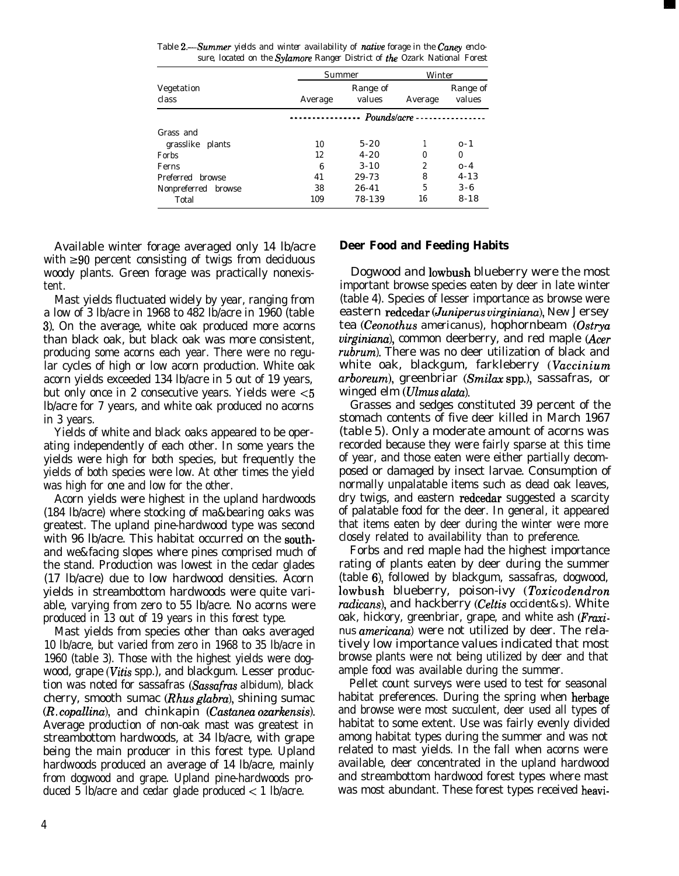Table 2.—Summer yields and winter availability of native forage in the Caney enclo*sure, located on the Sylamore Ranger District of the Ozark National Forest*

|                     | Summer  | Winter              |    |                    |  |  |  |
|---------------------|---------|---------------------|----|--------------------|--|--|--|
| Vegetation<br>class | Average | Range of<br>values  |    | Range of<br>values |  |  |  |
|                     |         | $Pounds/acre \n---$ |    |                    |  |  |  |
| Grass and           |         |                     |    |                    |  |  |  |
| grasslike plants    | 10      | $5 - 20$            |    | $0 - 1$            |  |  |  |
| <b>Forbs</b>        | 12      | $4 - 20$            | 0  | $\bf{0}$           |  |  |  |
| Ferns               | 6       | $3 - 10$            | 2  | $0 - 4$            |  |  |  |
| Preferred browse    | 41      | 29-73               | 8  | $4 - 13$           |  |  |  |
| Nonpreferred browse | 38      | $26 - 41$           | 5  | $3 - 6$            |  |  |  |
| Total               | 109     | 78-139              | 16 | $8 - 18$           |  |  |  |

Available winter forage averaged only 14 lb/acre with  $\geq 90$  percent consisting of twigs from deciduous woody plants. Green forage was practically nonexistent.

Mast yields fluctuated widely by year, ranging from a low of 3 lb/acre in 1968 to 482 lb/acre in 1960 (table 3). On the average, white oak produced more acorns than black oak, but black oak was more consistent, producing some acorns each year. There were no regular cycles of high or low acorn production. White oak acorn yields exceeded 134 lb/acre in 5 out of 19 years, but only once in 2 consecutive years. Yields were <5 lb/acre for 7 years, and white oak produced no acorns in 3 years.

Yields of white and black oaks appeared to be operating independently of each other. In some years the yields were high for both species, but frequently the yields of both species were low. At other times the yield was high for one and low for the other.

Acorn yields were highest in the upland hardwoods (184 lb/acre) where stocking of ma&bearing oaks was greatest. The upland pine-hardwood type was second with 96 lb/acre. This habitat occurred on the southand we&facing slopes where pines comprised much of the stand. Production was lowest in the cedar glades (17 lb/acre) due to low hardwood densities. Acorn yields in streambottom hardwoods were quite variable, varying from zero to 55 lb/acre. No acorns were produced in 13 out of 19 years in this forest type.

Mast yields from species other than oaks averaged 10 lb/acre, but varied from zero in 1968 to 35 lb/acre in 1960 (table 3). Those with the highest yields were dogwood, grape *(Vitis* spp.), and blackgum. Lesser production was noted for sassafras *(Sassafras albidum),* black cherry, smooth sumac (*Rhus glabra*), shining sumac *(R. copallina),* and chinkapin *(Castanea ozarkensis).* Average production of non-oak mast was greatest in streambottom hardwoods, at 34 lb/acre, with grape being the main producer in this forest type. Upland hardwoods produced an average of 14 lb/acre, mainly from dogwood and grape. Upland pine-hardwoods produced 5 lb/acre and cedar glade produced  $\lt 1$  lb/acre.

## **Deer Food and Feeding Habits**

Dogwood and lowbush blueberry were the most important browse species eaten by deer in late winter (table 4). Species of lesser importance as browse were eastern redcedar *(Juniperus virginiana), New* Jersey tea *(Ceonothus americanus),* hophornbeam *(Ostrya virginiana),* common deerberry, and red maple *(Acer rubrum).* There was no deer utilization of black and white oak, blackgum, farkleberry *(Vaccinium arboreum),* greenbriar *(Smilax* spp.), sassafras, or winged elm *(Ulmus ahtu).*

Grasses and sedges constituted 39 percent of the stomach contents of five deer killed in March 1967 (table 5). Only a moderate amount of acorns was recorded because they were fairly sparse at this time of year, and those eaten were either partially decomposed or damaged by insect larvae. Consumption of normally unpalatable items such as dead oak leaves, dry twigs, and eastern redcedar suggested a scarcity of palatable food for the deer. In general, it appeared that items eaten by deer during the winter were more closely related to availability than to preference.

Forbs and red maple had the highest importance rating of plants eaten by deer during the summer (table 6), followed by blackgum, sassafras, dogwood, lowbush blueberry, poison-ivy *(Z'oxicodendron radicans),* and hackberry *(Celtis occident&s).* White oak, hickory, greenbriar, grape, and white ash *(Fraxinus americana)* were not utilized by deer. The relatively low importance values indicated that most browse plants were not being utilized by deer and that ample food was available during the summer.

Pellet count surveys were used to test for seasonal habitat preferences. During the spring when herbage and browse were most succulent, deer used all types of habitat to some extent. Use was fairly evenly divided among habitat types during the summer and was not related to mast yields. In the fall when acorns were available, deer concentrated in the upland hardwood and streambottom hardwood forest types where mast was most abundant. These forest types received heavi-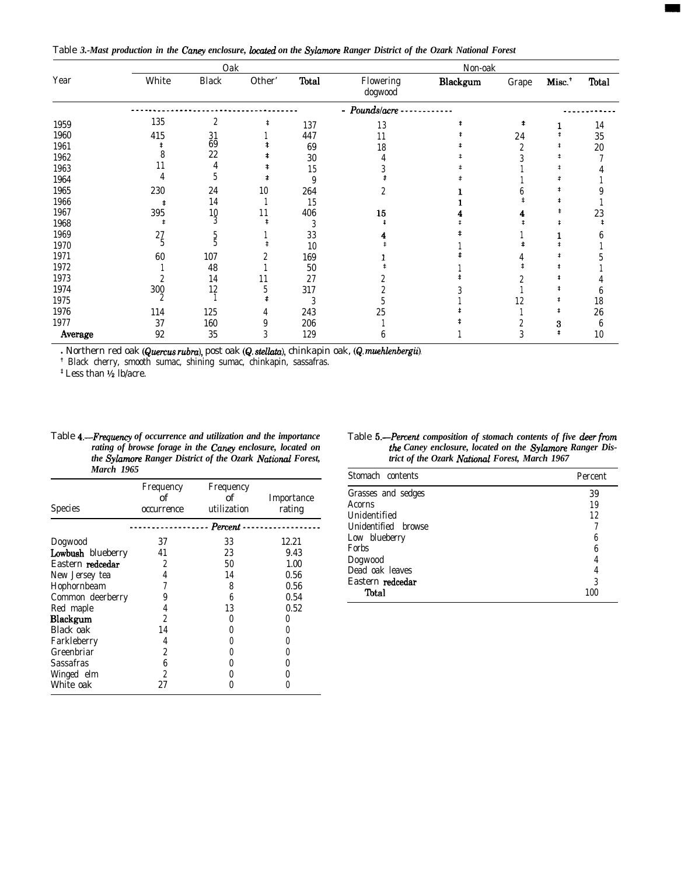Table *3.-Mast production in the Caney enclosure, located on the Sylamore Ranger District of the Ozark National Forest*

|         |       | Oak              |        |       |                      | Non-oak  |       |                    |              |
|---------|-------|------------------|--------|-------|----------------------|----------|-------|--------------------|--------------|
| Year    | White | <b>Black</b>     | Other' | Total | Flowering<br>dogwood | Blackgum | Grape | Misc. <sup>+</sup> | <b>Total</b> |
|         |       |                  |        |       | - Pounds/acre        |          |       |                    |              |
| 1959    | 135   | $\boldsymbol{2}$ | ŧ      | 137   | 13                   |          |       |                    | 14           |
| 1960    | 415   |                  |        | 447   | 11                   |          | 24    |                    | 35           |
| 1961    |       | $\frac{31}{69}$  |        | 69    | 18                   |          |       |                    | $20\,$       |
| 1962    |       | 22               |        | 30    |                      |          |       |                    |              |
| 1963    |       |                  |        | 15    |                      |          |       |                    |              |
| 1964    |       |                  |        | 9     |                      |          |       |                    |              |
| 1965    | 230   | 24               | 10     | 264   |                      |          |       |                    |              |
| 1966    | t     | 14               |        | 15    |                      |          |       |                    |              |
| 1967    | 395   | 10               | 11     | 406   | 15                   |          |       |                    | 23           |
| 1968    | \$    |                  |        |       |                      |          |       |                    |              |
| 1969    | 27    |                  |        | 33    |                      |          |       |                    |              |
| 1970    |       |                  |        | 10    |                      |          |       |                    |              |
| 1971    | 60    | 107              |        | 169   |                      |          |       |                    |              |
| 1972    |       | 48               |        | 50    |                      |          |       |                    |              |
| 1973    |       | 14               |        | 27    |                      |          |       |                    |              |
| 1974    | 300   | 12               |        | 317   |                      |          |       |                    |              |
| 1975    |       |                  |        |       |                      |          | 12    |                    | 18           |
| 1976    | 114   | 125              |        | 243   | 25                   |          |       |                    | 26           |
| 1977    | 37    | 160              |        | 206   |                      |          |       | 3                  |              |
| Average | 92    | 35               | 3      | 129   |                      |          |       |                    | 10           |

<sup>l</sup>Northern red oak (Quercus *rubm),* post oak (Q. stc&r.!o~, chinkapin oak, *(Q. muehlenbergii).*

*'* Black cherry, smooth sumac, shining sumac, chinkapin, sassafras.

 $*$  Less than  $\frac{1}{2}$  lb/acre.

Table *4.-Frequency of occurrence and utilization and the importance rating of browse forage in the Caney enclosure, located on the Sylamore Ranger District of the Ozark National Forest, March 1965*

| <b>Species</b>    | Frequency<br>Frequency<br>of<br>оf<br>utilization<br>occurrence |                         | Importance<br>rating |
|-------------------|-----------------------------------------------------------------|-------------------------|----------------------|
|                   |                                                                 | - - - - - - - Percent - |                      |
| Dogwood           | 37                                                              | 33                      | 12.21                |
| Lowbush blueberry | 41                                                              | 23                      | 9.43                 |
| Eastern redcedar  | 2                                                               | 50                      | 1.00                 |
| New Jersey tea    | 4                                                               | 14                      | 0.56                 |
| Hophornbeam       |                                                                 | 8                       | 0.56                 |
| Common deerberry  |                                                                 | 6                       | 0.54                 |
| Red maple         |                                                                 | 13                      | 0.52                 |
| Blackgum          | 2                                                               |                         |                      |
| Black oak         | 14                                                              |                         |                      |
| Farkleberry       | 4                                                               |                         |                      |
| Greenbriar        | 2                                                               |                         |                      |
| Sassafras         | 6                                                               |                         |                      |
| Winged elm        | 2                                                               |                         |                      |
| White oak         | 27                                                              |                         |                      |
|                   |                                                                 |                         |                      |

| Table 5.—Percent composition of stomach contents of five deer from |
|--------------------------------------------------------------------|
| the Caney enclosure, located on the Sylamore Ranger Dis-           |
| trict of the Ozark National Forest, March 1967                     |

| Stomach contents    | Percent |
|---------------------|---------|
| Grasses and sedges  | 39      |
| Acorns              | 19      |
| Unidentified        | 12      |
| Unidentified browse |         |
| Low blueberry       | 6       |
| Forbs               | 6       |
| Dogwood             |         |
| Dead oak leaves     |         |
| Eastern redcedar    | 3       |
| Total               | 100     |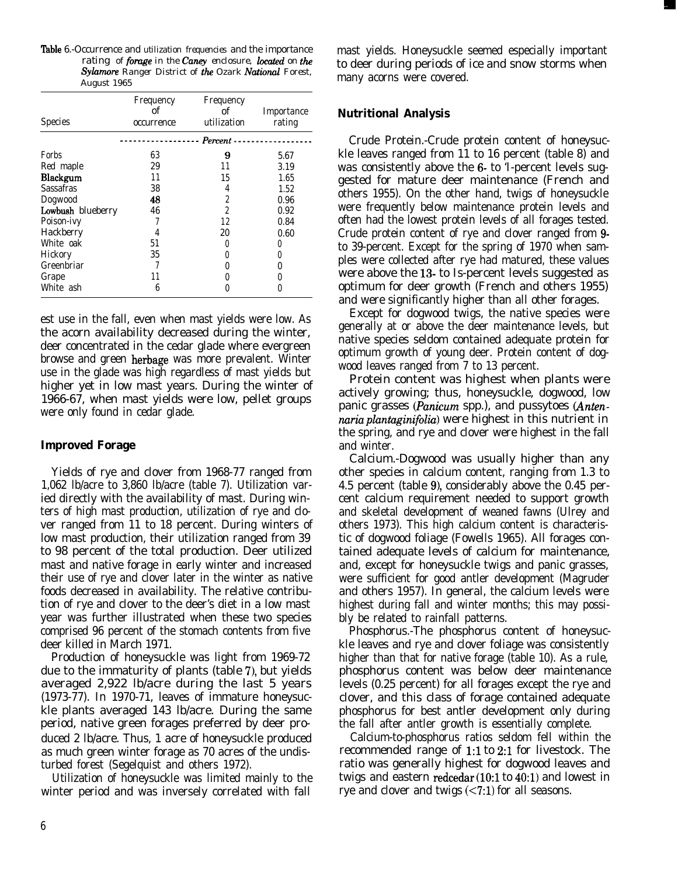'Ihble 6.-Occurrence and *utilization frequencies* and *the importance rating of forage in the Caney enclosure, located on the* Sylamore Ranger District of the Ozark National Forest, *August 1965*

| <b>Species</b>    | Frequency<br>оf<br>occurrence | Frequency<br>of<br>utilization  | Importance<br>rating |
|-------------------|-------------------------------|---------------------------------|----------------------|
|                   |                               | - - - - - Percent - - - - - - - |                      |
| Forbs             | 63                            | 9                               | 5.67                 |
| Red maple         | 29                            | 11                              | 3.19                 |
| Blackgum          | 11                            | 15                              | 1.65                 |
| Sassafras         | 38                            | 4                               | 1.52                 |
| Dogwood           | 48                            | 2                               | 0.96                 |
| Lowbush blueberry | 46                            | $\overline{c}$                  | 0.92                 |
| Poison-ivy        |                               | 12                              | 0.84                 |
| Hackberry         | 4                             | 20                              | 0.60                 |
| White oak         | 51                            |                                 |                      |
| Hickory           | 35                            |                                 |                      |
| Greenbriar        |                               |                                 |                      |
| Grape             |                               |                                 |                      |
| White ash         | 6                             |                                 |                      |

est use in the fall, even when mast yields were low. As the acorn availability decreased during the winter, deer concentrated in the cedar glade where evergreen browse and green herbage was more prevalent. Winter use in the glade was high regardless of mast yields but higher yet in low mast years. During the winter of 1966-67, when mast yields were low, pellet groups were only found in cedar glade.

## **Improved Forage**

Yields of rye and clover from 1968-77 ranged from 1,062 lb/acre to 3,860 lb/acre (table 7). Utilization varied directly with the availability of mast. During winters of high mast production, utilization of rye and clover ranged from 11 to 18 percent. During winters of low mast production, their utilization ranged from 39 to 98 percent of the total production. Deer utilized mast and native forage in early winter and increased their use of rye and clover later in the winter as native foods decreased in availability. The relative contribution of rye and clover to the deer's diet in a low mast year was further illustrated when these two species comprised 96 percent of the stomach contents from five deer killed in March 1971.

Production of honeysuckle was light from 1969-72 due to the immaturity of plants (table 7), but yields averaged 2,922 lb/acre during the last 5 years (1973-77). In 1970-71, leaves of immature honeysuckle plants averaged 143 lb/acre. During the same period, native green forages preferred by deer produced 2 lb/acre. Thus, 1 acre of honeysuckle produced as much green winter forage as 70 acres of the undisturbed forest (Segelquist and others 1972).

Utilization of honeysuckle was limited mainly to the winter period and was inversely correlated with fall

mast yields. Honeysuckle seemed especially important to deer during periods of ice and snow storms when many acorns were covered.

## **Nutritional Analysis**

Crude Protein.-Crude protein content of honeysuckle leaves ranged from 11 to 16 percent (table 8) and was consistently above the 6- to 'I-percent levels suggested for mature deer maintenance (French and others 1955). On the other hand, twigs of honeysuckle were frequently below maintenance protein levels and often had the lowest protein levels of all forages tested. Crude protein content of rye and clover ranged from 9 to 39-percent. Except for the spring of 1970 when samples were collected after rye had matured, these values were above the 13- to Is-percent levels suggested as optimum for deer growth (French and others 1955) and were significantly higher than all other forages.

Except for dogwood twigs, the native species were generally at or above the deer maintenance levels, but native species seldom contained adequate protein for optimum growth of young deer. Protein content of dogwood leaves ranged from 7 to 13 percent.

Protein content was highest when plants were actively growing; thus, honeysuckle, dogwood, low panic grasses (*Panicum* spp.), and pussytoes (*Antennaria plantaginifolia*) were highest in this nutrient in the spring, and rye and clover were highest in the fall and winter.

Calcium.-Dogwood was usually higher than any other species in calcium content, ranging from 1.3 to 4.5 percent (table 9), considerably above the 0.45 percent calcium requirement needed to support growth and skeletal development of weaned fawns (Ulrey and others 1973). This high calcium content is characteristic of dogwood foliage (Fowells 1965). All forages contained adequate levels of calcium for maintenance, and, except for honeysuckle twigs and panic grasses, were sufficient for good antler development (Magruder and others 1957). In general, the calcium levels were highest during fall and winter months; this may possibly be related to rainfall patterns.

Phosphorus.-The phosphorus content of honeysuckle leaves and rye and clover foliage was consistently higher than that for native forage (table 10). As a rule, phosphorus content was below deer maintenance levels (0.25 percent) for all forages except the rye and clover, and this class of forage contained adequate phosphorus for best antler development only during the fall after antler growth is essentially complete.

Calcium-to-phosphorus ratios seldom fell within the recommended range of 1:l to 2:l for livestock. The ratio was generally highest for dogwood leaves and twigs and eastern redcedar (1O:l to 4O:l) and lowest in rye and clover and twigs (<7:1) for all seasons.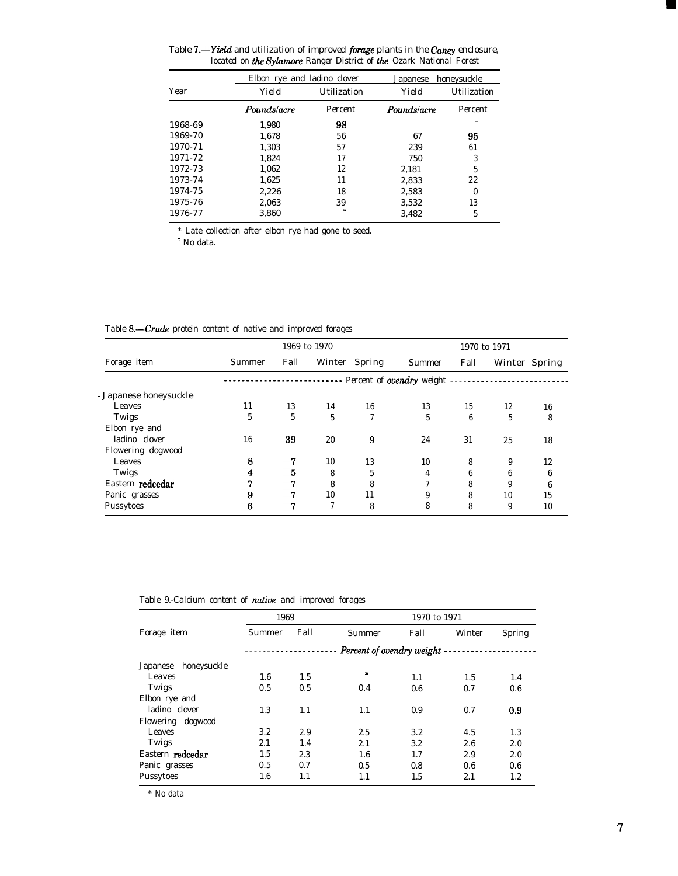Table 'I.-Yield and *utilization of improved forage plants in the Caney enclosure, located on the Sylamore Ranger District of the Ozark National Forest* 

|         | Elbon rye and ladino clover |             | Japanese    | honeysuckle |  |
|---------|-----------------------------|-------------|-------------|-------------|--|
| Year    | Yield                       | Utilization | Yield       | Utilization |  |
|         | Pounds/acre                 | Percent     | Pounds/acre | Percent     |  |
| 1968-69 | 1,980                       | 98          |             | t           |  |
| 1969-70 | 1.678                       | 56          | 67          | 95          |  |
| 1970-71 | 1.303                       | 57          | 239         | 61          |  |
| 1971-72 | 1.824                       | 17          | 750         | 3           |  |
| 1972-73 | 1,062                       | 12          | 2,181       | 5           |  |
| 1973-74 | 1,625                       | 11          | 2,833       | 22          |  |
| 1974-75 | 2.226                       | 18          | 2,583       | $\theta$    |  |
| 1975-76 | 2,063                       | 39          | 3.532       | 13          |  |
| 1976-77 | 3.860                       |             | 3.482       | 5           |  |

\* Late collection after elbon rye had gone to seed. ' No data.

Table 8.-Crude *protein content of native and improved forages*

|                        |                                       | 1969 to 1970 |    |               |        |      | 1970 to 1971 |               |  |  |
|------------------------|---------------------------------------|--------------|----|---------------|--------|------|--------------|---------------|--|--|
| Forage item            | Summer                                | Fall         |    | Winter Spring | Summer | Fall |              | Winter Spring |  |  |
|                        | --------- Percent of ovendry weight - |              |    |               |        |      |              |               |  |  |
| - Japanese honeysuckle |                                       |              |    |               |        |      |              |               |  |  |
| Leaves                 | 11                                    | 13           | 14 | 16            | 13     | 15   | 12           | 16            |  |  |
| Twigs                  | 5                                     | 5            | 5  | 7             | 5      | 6    | 5            | 8             |  |  |
| Elbon rye and          |                                       |              |    |               |        |      |              |               |  |  |
| ladino clover          | 16                                    | 39           | 20 | 9             | 24     | 31   | 25           | 18            |  |  |
| Flowering dogwood      |                                       |              |    |               |        |      |              |               |  |  |
| Leaves                 | 8                                     | 7            | 10 | 13            | 10     | 8    | 9            | 12            |  |  |
| Twigs                  | 4                                     | 5            | 8  | 5             | 4      | 6    | 6            | 6             |  |  |
| Eastern redcedar       | 77                                    | 77           | 8  | 8             |        | 8    | 9            | 6             |  |  |
| Panic grasses          | 9                                     | 7            | 10 | 11            | 9      | 8    | 10           | 15            |  |  |
| Pussytoes              | 6                                     |              | o  | 8             | 8      | 8    | 9            | 10            |  |  |

Table *9.-Calcium content of native and improved forages*

|                         | 1969    |      |                                    | 1970 to 1971 |        |               |  |  |  |
|-------------------------|---------|------|------------------------------------|--------------|--------|---------------|--|--|--|
| Forage item             | Summer  | Fall | Summer                             | Fall         | Winter | <b>Spring</b> |  |  |  |
|                         |         |      | Percent of ovendry weight $\cdots$ |              |        |               |  |  |  |
| honeysuckle<br>Japanese |         |      |                                    |              |        |               |  |  |  |
| Leaves                  | 1.6     | 1.5  | $\ast$                             | 1.1          | 1.5    | 1.4           |  |  |  |
| Twigs                   | 0.5     | 0.5  | 0.4                                | 0.6          | 0.7    | 0.6           |  |  |  |
| Elbon rye and           |         |      |                                    |              |        |               |  |  |  |
| ladino clover           | 1.3     | 1.1  | 1.1                                | 0.9          | 0.7    | 0.9           |  |  |  |
| Flowering dogwood       |         |      |                                    |              |        |               |  |  |  |
| Leaves                  | 3.2     | 2.9  | 2.5                                | 3.2          | 4.5    | 1.3           |  |  |  |
| Twigs                   | 2.1     | 1.4  | 2.1                                | 3.2          | 2.6    | 2.0           |  |  |  |
| Eastern <b>redcedar</b> | 1.5     | 2.3  | 1.6                                | 1.7          | 2.9    | 2.0           |  |  |  |
| Panic grasses           | 0.5     | 0.7  | 0.5                                | 0.8          | 0.6    | 0.6           |  |  |  |
| Pussytoes               | $1.6\,$ | 1.1  | 1.1                                | 1.5          | 2.1    | 1.2           |  |  |  |

\* No data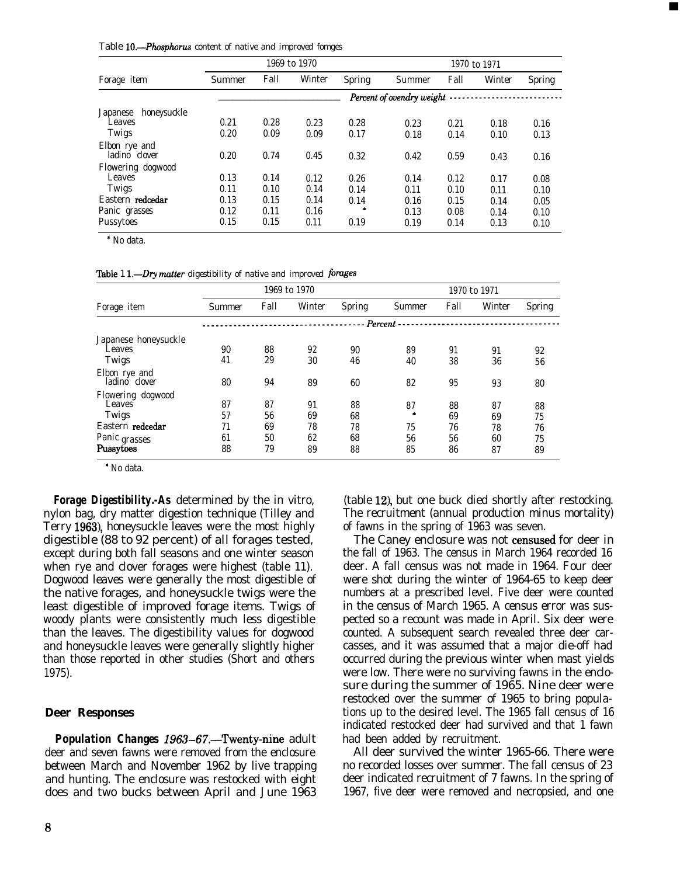Table *IO.-Phosphorus content of native and improved fomges*

|                         |                             |      | 1969 to 1970 |               |        |      | 1970 to 1971 |               |  |
|-------------------------|-----------------------------|------|--------------|---------------|--------|------|--------------|---------------|--|
| Forage item             | Summer                      | Fall | Winter       | <b>Spring</b> | Summer | Fall | Winter       | <b>Spring</b> |  |
|                         | Percent of ovendry weight - |      |              |               |        |      |              |               |  |
| honeysuckle<br>Japanese |                             |      |              |               |        |      |              |               |  |
| Leaves                  | 0.21                        | 0.28 | 0.23         | 0.28          | 0.23   | 0.21 | 0.18         | 0.16          |  |
| Twigs                   | 0.20                        | 0.09 | 0.09         | 0.17          | 0.18   | 0.14 | 0.10         | 0.13          |  |
| Elbon rye and           |                             |      |              |               |        |      |              |               |  |
| ladino clover           | 0.20                        | 0.74 | 0.45         | 0.32          | 0.42   | 0.59 | 0.43         | 0.16          |  |
| Flowering dogwood       |                             |      |              |               |        |      |              |               |  |
| Leaves                  | 0.13                        | 0.14 | 0.12         | 0.26          | 0.14   | 0.12 | 0.17         | 0.08          |  |
| Twigs                   | 0.11                        | 0.10 | 0.14         | 0.14          | 0.11   | 0.10 | 0.11         | 0.10          |  |
| Eastern redcedar        | 0.13                        | 0.15 | 0.14         | 0.14          | 0.16   | 0.15 | 0.14         | 0.05          |  |
| Panic grasses           | 0.12                        | 0.11 | 0.16         |               | 0.13   | 0.08 | 0.14         | 0.10          |  |
| Pussytoes               | 0.15                        | 0.15 | 0.11         | 0.19          | 0.19   | 0.14 | 0.13         | 0.10          |  |

\* No data.

'Iable 1 *L-Dry mntter digestibility of native and improved forges*

|                                |        |      | 1969 to 1970 |        | 1970 to 1971 |      |        |               |
|--------------------------------|--------|------|--------------|--------|--------------|------|--------|---------------|
| Forage item                    | Summer | Fall | Winter       | Spring | Summer       | Fall | Winter | <b>Spring</b> |
|                                |        |      |              |        | Percent -    |      |        |               |
| Japanese honeysuckle           |        |      |              |        |              |      |        |               |
| Leaves                         | 90     | 88   | 92           | 90     | 89           | 91   | 91     | 92            |
| Twigs                          | 41     | 29   | 30           | 46     | 40           | 38   | 36     | 56            |
| Elbon rye and<br>ladino clover | 80     | 94   | 89           | 60     | 82           | 95   | 93     | 80            |
| Flowering dogwood              |        |      |              |        |              |      |        |               |
| Leaves                         | 87     | 87   | 91           | 88     | 87           | 88   | 87     | 88            |
| Twigs                          | 57     | 56   | 69           | 68     | ×            | 69   | 69     | 75            |
| Eastern redcedar               | 71     | 69   | 78           | 78     | 75           | 76   | 78     | 76            |
| Panic grasses                  | 61     | 50   | 62           | 68     | 56           | 56   | 60     | 75            |
| Pussytoes                      | 88     | 79   | 89           | 88     | 85           | 86   | 87     | 89            |

\* No data.

*Forage Digestibility.-As* determined by the in vitro, nylon bag, dry matter digestion technique (Tilley and Terry 1963), honeysuckle leaves were the most highly digestible (88 to 92 percent) of all forages tested, except during both fall seasons and one winter season when rye and clover forages were highest (table 11). Dogwood leaves were generally the most digestible of the native forages, and honeysuckle twigs were the least digestible of improved forage items. Twigs of woody plants were consistently much less digestible than the leaves. The digestibility values for dogwood and honeysuckle leaves were generally slightly higher than those reported in other studies (Short and others 1975).

## **Deer Responses**

**Population Changes 1963-67.**-Twenty-nine adult deer and seven fawns were removed from the enclosure between March and November 1962 by live trapping and hunting. The enclosure was restocked with eight does and two bucks between April and June 1963

(table 12), but one buck died shortly after restocking. The recruitment (annual production minus mortality) of fawns in the spring of 1963 was seven.

The Caney enclosure was not censused for deer in the fall of 1963. The census in March 1964 recorded 16 deer. A fall census was not made in 1964. Four deer were shot during the winter of 1964-65 to keep deer numbers at a prescribed level. Five deer were counted in the census of March 1965. A census error was suspected so a recount was made in April. Six deer were counted. A subsequent search revealed three deer carcasses, and it was assumed that a major die-off had occurred during the previous winter when mast yields were low. There were no surviving fawns in the enclosure during the summer of 1965. Nine deer were restocked over the summer of 1965 to bring populations up to the desired level. The 1965 fall census of 16 indicated restocked deer had survived and that 1 fawn had been added by recruitment.

All deer survived the winter 1965-66. There were no recorded losses over summer. The fall census of 23 deer indicated recruitment of 7 fawns. In the spring of 1967, five deer were removed and necropsied, and one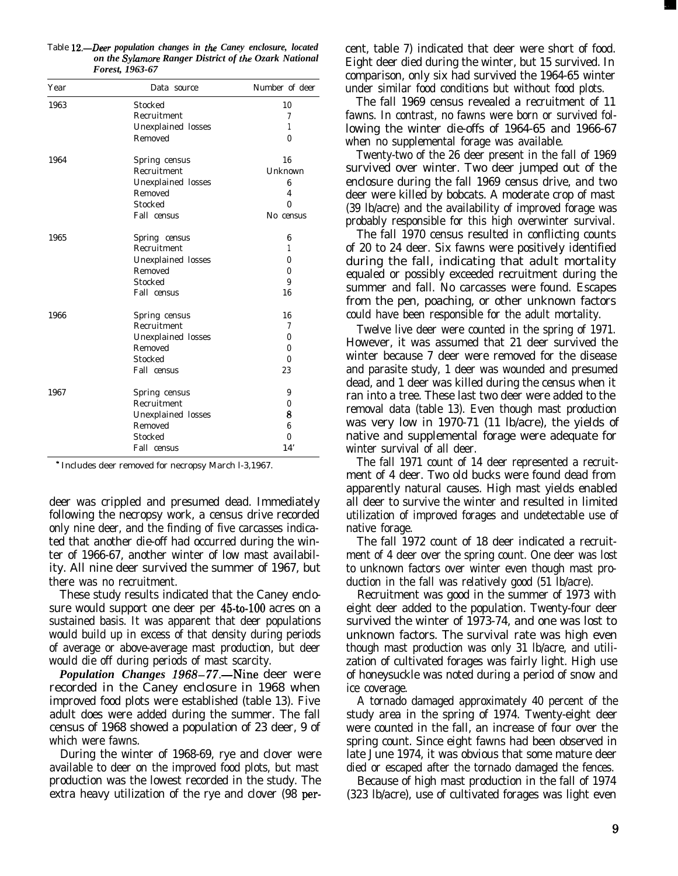| Year | Data source        | Number of deer |
|------|--------------------|----------------|
| 1963 | Stocked            | 10             |
|      | Recruitment        | 7              |
|      | Unexplained losses | 1              |
|      | Removed            | $\mathbf{0}$   |
| 1964 | Spring census      | 16             |
|      | Recruitment        | Unknown        |
|      | Unexplained losses | 6              |
|      | Removed            | 4              |
|      | <b>Stocked</b>     | 0              |
|      | Fall census        | No census      |
| 1965 | Spring census      | 6              |
|      | Recruitment        | 1              |
|      | Unexplained losses | 0              |
|      | Removed            | 0              |
|      | <b>Stocked</b>     | 9              |
|      | Fall census        | 16             |
| 1966 | Spring census      | 16             |
|      | Recruitment        | 7              |
|      | Unexplained losses | $\bf{0}$       |
|      | Removed            | 0              |
|      | Stocked            | $\theta$       |
|      | Fall census        | 23             |
| 1967 | Spring census      | 9              |
|      | Recruitment        | 0              |
|      | Unexplained losses | 8              |
|      | Removed            | 6              |
|      | Stocked            | 0              |
|      | Fall census        | 14'            |

Table 12.-Deer *population changes in the Caney enclosure, located on the Sylamore Ranger District of the Ozark National Forest, 1963-67*

\* Includes deer removed for necropsy March l-3,1967.

deer was crippled and presumed dead. Immediately following the necropsy work, a census drive recorded only nine deer, and the finding of five carcasses indicated that another die-off had occurred during the winter of 1966-67, another winter of low mast availability. All nine deer survived the summer of 1967, but there was no recruitment.

These study results indicated that the Caney enclosure would support one deer per 45-to-100 acres on a sustained basis. It was apparent that deer populations would build up in excess of that density during periods of average or above-average mast production, but deer would die off during periods of mast scarcity.

*Population Changes 1968–77.—Nine deer were* recorded in the Caney enclosure in 1968 when improved food plots were established (table 13). Five adult does were added during the summer. The fall census of 1968 showed a population of 23 deer, 9 of which were fawns.

During the winter of 1968-69, rye and clover were available to deer on the improved food plots, but mast production was the lowest recorded in the study. The extra heavy utilization of the rye and clover (98 percent, table 7) indicated that deer were short of food. Eight deer died during the winter, but 15 survived. In comparison, only six had survived the 1964-65 winter under similar food conditions but without food plots.

The fall 1969 census revealed a recruitment of 11 fawns. In contrast, no fawns were born or survived following the winter die-offs of 1964-65 and 1966-67 when no supplemental forage was available.

Twenty-two of the 26 deer present in the fall of 1969 survived over winter. Two deer jumped out of the enclosure during the fall 1969 census drive, and two deer were killed by bobcats. A moderate crop of mast (39 lb/acre) and the availability of improved forage was probably responsible for this high overwinter survival.

The fall 1970 census resulted in conflicting counts of 20 to 24 deer. Six fawns were positively identified during the fall, indicating that adult mortality equaled or possibly exceeded recruitment during the summer and fall. No carcasses were found. Escapes from the pen, poaching, or other unknown factors could have been responsible for the adult mortality.

Twelve live deer were counted in the spring of 1971. However, it was assumed that 21 deer survived the winter because 7 deer were removed for the disease and parasite study, 1 deer was wounded and presumed dead, and 1 deer was killed during the census when it ran into a tree. These last two deer were added to the removal data (table 13). Even though mast production was very low in 1970-71 (11 lb/acre), the yields of native and supplemental forage were adequate for winter survival of all deer.

The fall 1971 count of 14 deer represented a recruitment of 4 deer. Two old bucks were found dead from apparently natural causes. High mast yields enabled all deer to survive the winter and resulted in limited utilization of improved forages and undetectable use of native forage.

The fall 1972 count of 18 deer indicated a recruitment of 4 deer over the spring count. One deer was lost to unknown factors over winter even though mast production in the fall was relatively good (51 lb/acre).

Recruitment was good in the summer of 1973 with eight deer added to the population. Twenty-four deer survived the winter of 1973-74, and one was lost to unknown factors. The survival rate was high even though mast production was only 31 lb/acre, and utilization of cultivated forages was fairly light. High use of honeysuckle was noted during a period of snow and ice coverage.

A tornado damaged approximately 40 percent of the study area in the spring of 1974. Twenty-eight deer were counted in the fall, an increase of four over the spring count. Since eight fawns had been observed in late June 1974, it was obvious that some mature deer died or escaped after the tornado damaged the fences.

Because of high mast production in the fall of 1974 (323 lb/acre), use of cultivated forages was light even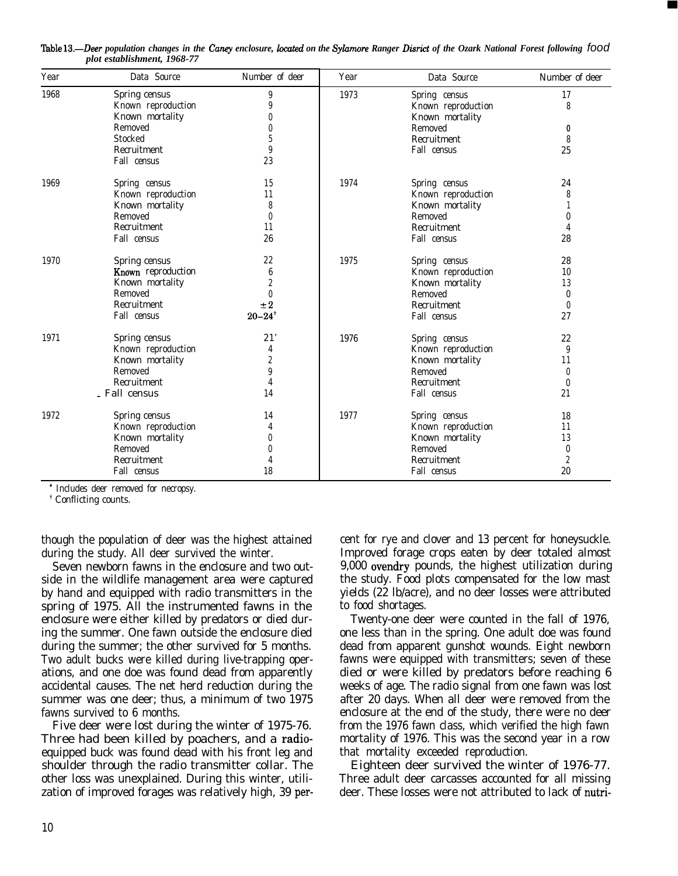| Year | Data Source        | Number of deer         | Year | Data Source        | Number of deer   |
|------|--------------------|------------------------|------|--------------------|------------------|
| 1968 | Spring census      | 9                      | 1973 | Spring census      | 17               |
|      | Known reproduction | 9                      |      | Known reproduction | 8                |
|      | Known mortality    | O                      |      | Known mortality    |                  |
|      | Removed            | O                      |      | Removed            | 0                |
|      | Stocked            | 5                      |      | Recruitment        | 8                |
|      | Recruitment        | 9                      |      | Fall census        | 25               |
|      | Fall census        | 23                     |      |                    |                  |
| 1969 | Spring census      | 15                     | 1974 | Spring census      | 24               |
|      | Known reproduction | 11                     |      | Known reproduction | 8                |
|      | Known mortality    | 8                      |      | Known mortality    |                  |
|      | Removed            | $\theta$               |      | Removed            | 0                |
|      | Recruitment        | 11                     |      | Recruitment        | 4                |
|      | Fall census        | 26                     |      | Fall census        | 28               |
| 1970 | Spring census      | 22                     | 1975 | Spring census      | 28               |
|      | Known reproduction | 6                      |      | Known reproduction | 10               |
|      | Known mortality    | $\overline{2}$         |      | Known mortality    | 13               |
|      | Removed            | $\mathbf{0}$           |      | Removed            | $\boldsymbol{0}$ |
|      | Recruitment        | $\pm 2$                |      | Recruitment        | $\boldsymbol{0}$ |
|      | Fall census        | $20 - 24$ <sup>+</sup> |      | Fall census        | 27               |
| 1971 | Spring census      | 21'                    | 1976 | Spring census      | 22               |
|      | Known reproduction | 4                      |      | Known reproduction | 9                |
|      | Known mortality    | $\overline{2}$         |      | Known mortality    | 11               |
|      | Removed            | 9                      |      | Removed            | $\theta$         |
|      | Recruitment        | 4                      |      | Recruitment        | $\boldsymbol{0}$ |
|      | - Fall census      | 14                     |      | Fall census        | 21               |
| 1972 | Spring census      | 14                     | 1977 | Spring census      | 18               |
|      | Known reproduction | 4                      |      | Known reproduction | 11               |
|      | Known mortality    | $\theta$               |      | Known mortality    | 13               |
|      | Removed            | 0                      |      | Removed            | 0                |
|      | Recruitment        |                        |      | Recruitment        | $\boldsymbol{2}$ |
|      | Fall census        | 18                     |      | Fall census        | 20               |

!hble 13.-Deer *population changes in the Canny enclosure, located on the Sylumore Ranger Disrict of the Ozark National Forest following food plot establishment, 1968-77*

\* Includes deer removed for necropsy.

+ Conflicting counts.

though the population of deer was the highest attained during the study. All deer survived the winter.

Seven newborn fawns in the enclosure and two outside in the wildlife management area were captured by hand and equipped with radio transmitters in the spring of 1975. All the instrumented fawns in the enclosure were either killed by predators or died during the summer. One fawn outside the enclosure died during the summer; the other survived for 5 months. Two adult bucks were killed during live-trapping operations, and one doe was found dead from apparently accidental causes. The net herd reduction during the summer was one deer; thus, a minimum of two 1975 fawns survived to 6 months.

Five deer were lost during the winter of 1975-76. Three had been killed by poachers, and a radioequipped buck was found dead with his front leg and shoulder through the radio transmitter collar. The other loss was unexplained. During this winter, utilization of improved forages was relatively high, 39 percent for rye and clover and 13 percent for honeysuckle. Improved forage crops eaten by deer totaled almost 9,000 ovendry pounds, the highest utilization during the study. Food plots compensated for the low mast yields (22 lb/acre), and no deer losses were attributed to food shortages.

Twenty-one deer were counted in the fall of 1976, one less than in the spring. One adult doe was found dead from apparent gunshot wounds. Eight newborn fawns were equipped with transmitters; seven of these died or were killed by predators before reaching 6 weeks of age. The radio signal from one fawn was lost after 20 days. When all deer were removed from the enclosure at the end of the study, there were no deer from the 1976 fawn class, which verified the high fawn mortality of 1976. This was the second year in a row that mortality exceeded reproduction.

Eighteen deer survived the winter of 1976-77. Three adult deer carcasses accounted for all missing deer. These losses were not attributed to lack of nutri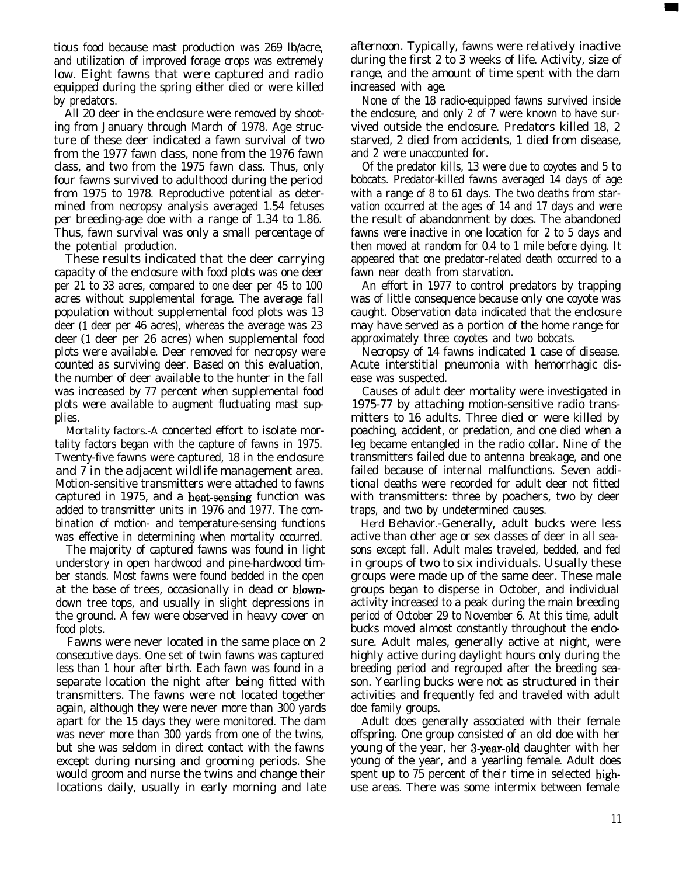tious food because mast production was 269 lb/acre, and utilization of improved forage crops was extremely low. Eight fawns that were captured and radio equipped during the spring either died or were killed by predators.

All 20 deer in the enclosure were removed by shooting from January through March of 1978. Age structure of these deer indicated a fawn survival of two from the 1977 fawn class, none from the 1976 fawn class, and two from the 1975 fawn class. Thus, only four fawns survived to adulthood during the period from 1975 to 1978. Reproductive potential as determined from necropsy analysis averaged 1.54 fetuses per breeding-age doe with a range of 1.34 to 1.86. Thus, fawn survival was only a small percentage of the potential production.

These results indicated that the deer carrying capacity of the enclosure with food plots was one deer per 21 to 33 acres, compared to one deer per 45 to 100 acres without supplemental forage. The average fall population without supplemental food plots was 13 deer (1 deer per 46 acres), whereas the average was 23 deer (1 deer per 26 acres) when supplemental food plots were available. Deer removed for necropsy were counted as surviving deer. Based on this evaluation, the number of deer available to the hunter in the fall was increased by 77 percent when supplemental food plots were available to augment fluctuating mast supplies.

*Mortality factors.-A* concerted effort to isolate mortality factors began with the capture of fawns in 1975. Twenty-five fawns were captured, 18 in the enclosure and 7 in the adjacent wildlife management area. Motion-sensitive transmitters were attached to fawns captured in 1975, and a heat-sensing function was added to transmitter units in 1976 and 1977. The combination of motion- and temperature-sensing functions was effective in determining when mortality occurred.

The majority of captured fawns was found in light understory in open hardwood and pine-hardwood timber stands. Most fawns were found bedded in the open at the base of trees, occasionally in dead or blowndown tree tops, and usually in slight depressions in the ground. A few were observed in heavy cover on food plots.

Fawns were never located in the same place on 2 consecutive days. One set of twin fawns was captured less than 1 hour after birth. Each fawn was found in a separate location the night after being fitted with transmitters. The fawns were not located together again, although they were never more than 300 yards apart for the 15 days they were monitored. The dam was never more than 300 yards from one of the twins, but she was seldom in direct contact with the fawns except during nursing and grooming periods. She would groom and nurse the twins and change their locations daily, usually in early morning and late

afternoon. Typically, fawns were relatively inactive during the first 2 to 3 weeks of life. Activity, size of range, and the amount of time spent with the dam increased with age.

None of the 18 radio-equipped fawns survived inside the enclosure, and only 2 of 7 were known to have survived outside the enclosure. Predators killed 18, 2 starved, 2 died from accidents, 1 died from disease, and 2 were unaccounted for.

Of the predator kills, 13 were due to coyotes and 5 to bobcats. Predator-killed fawns averaged 14 days of age with a range of 8 to 61 days. The two deaths from starvation occurred at the ages of 14 and 17 days and were the result of abandonment by does. The abandoned fawns were inactive in one location for 2 to 5 days and then moved at random for 0.4 to 1 mile before dying. It appeared that one predator-related death occurred to a fawn near death from starvation.

An effort in 1977 to control predators by trapping was of little consequence because only one coyote was caught. Observation data indicated that the enclosure may have served as a portion of the home range for approximately three coyotes and two bobcats.

Necropsy of 14 fawns indicated 1 case of disease. Acute interstitial pneumonia with hemorrhagic disease was suspected.

Causes of adult deer mortality were investigated in 1975-77 by attaching motion-sensitive radio transmitters to 16 adults. Three died or were killed by poaching, accident, or predation, and one died when a leg became entangled in the radio collar. Nine of the transmitters failed due to antenna breakage, and one failed because of internal malfunctions. Seven additional deaths were recorded for adult deer not fitted with transmitters: three by poachers, two by deer traps, and two by undetermined causes.

*Herd* Behavior.-Generally, adult bucks were less active than other age or sex classes of deer in all seasons except fall. Adult males traveled, bedded, and fed in groups of two to six individuals. Usually these groups were made up of the same deer. These male groups began to disperse in October, and individual activity increased to a peak during the main breeding period of October 29 to November 6. At this time, adult bucks moved almost constantly throughout the enclosure. Adult males, generally active at night, were highly active during daylight hours only during the breeding period and regrouped after the breeding season. Yearling bucks were not as structured in their activities and frequently fed and traveled with adult doe family groups.

Adult does generally associated with their female offspring. One group consisted of an old doe with her young of the year, her 3-year-old daughter with her young of the year, and a yearling female. Adult does spent up to 75 percent of their time in selected highuse areas. There was some intermix between female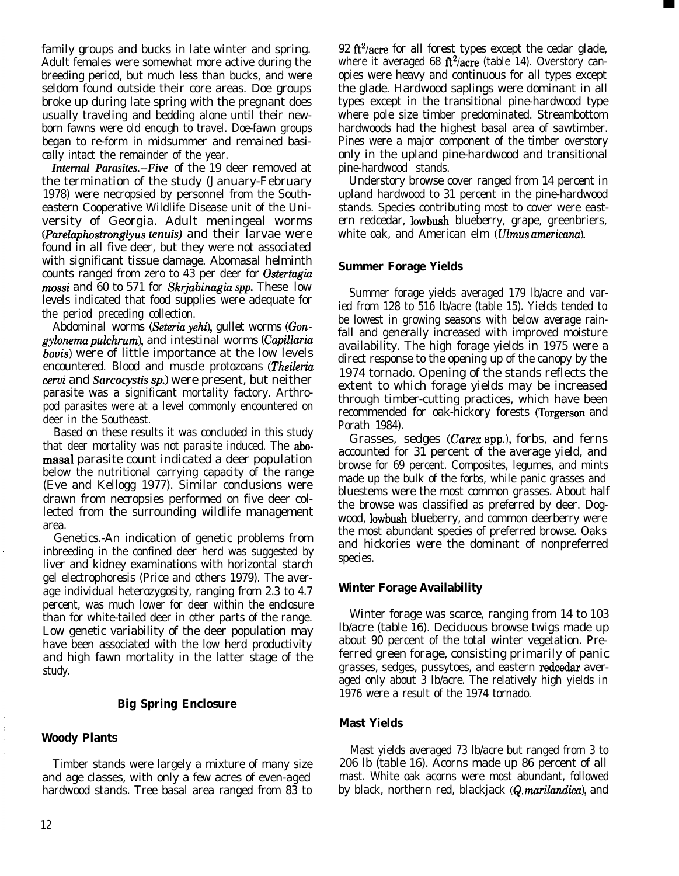family groups and bucks in late winter and spring. Adult females were somewhat more active during the breeding period, but much less than bucks, and were seldom found outside their core areas. Doe groups broke up during late spring with the pregnant does usually traveling and bedding alone until their newborn fawns were old enough to travel. Doe-fawn groups began to re-form in midsummer and remained basically intact the remainder of the year.

*Internal Parasites.--Five* of the 19 deer removed at the termination of the study (January-February 1978) were necropsied by personnel from the Southeastern Cooperative Wildlife Disease unit of the University of Georgia. Adult meningeal worms *(Parelaphostronglyus tenuis)* and their larvae were found in all five deer, but they were not associated with significant tissue damage. Abomasal helminth counts ranged from zero to 43 per deer for *Ostertugiu mossi* and 60 to 571 for *Skrjabinugiu spp.* These low levels indicated that food supplies were adequate for the period preceding collection.

Abdominal worms *(Seteria yehi)*, gullet worms *(Gongylonemu pulchrum),* and intestinal worms *(Capilluriu bovis)* were of little importance at the low levels encountered. Blood and muscle protozoans *Vheileriu cerui* and *Sarcocystis sp.)* were present, but neither parasite was a significant mortality factory. Arthropod parasites were at a level commonly encountered on deer in the Southeast.

Based on these results it was concluded in this study that deer mortality was not parasite induced. The abomasal parasite count indicated a deer population below the nutritional carrying capacity of the range (Eve and Kellogg 1977). Similar conclusions were drawn from necropsies performed on five deer collected from the surrounding wildlife management area.

Genetics.-An indication of genetic problems from inbreeding in the confined deer herd was suggested by liver and kidney examinations with horizontal starch gel electrophoresis (Price and others 1979). The average individual heterozygosity, ranging from 2.3 to 4.7 percent, was much lower for deer within the enclosure than for white-tailed deer in other parts of the range. Low genetic variability of the deer population may have been associated with the low herd productivity and high fawn mortality in the latter stage of the study.

## **Big Spring Enclosure**

## **Woody Plants**

Timber stands were largely a mixture of many size and age classes, with only a few acres of even-aged hardwood stands. Tree basal area ranged from 83 to 92 ft<sup>2</sup>/acre for all forest types except the cedar glade, where it averaged 68  $ft^2/acre$  (table 14). Overstory canopies were heavy and continuous for all types except the glade. Hardwood saplings were dominant in all types except in the transitional pine-hardwood type where pole size timber predominated. Streambottom hardwoods had the highest basal area of sawtimber. Pines were a major component of the timber overstory only in the upland pine-hardwood and transitional pine-hardwood stands.

Understory browse cover ranged from 14 percent in upland hardwood to 31 percent in the pine-hardwood stands. Species contributing most to cover were eastern redcedar, lowbush blueberry, grape, greenbriers, white oak, and American elm *(Ulmus americana).*

## **Summer Forage Yields**

Summer forage yields averaged 179 lb/acre and varied from 128 to 516 lb/acre (table 15). Yields tended to be lowest in growing seasons with below average rainfall and generally increased with improved moisture availability. The high forage yields in 1975 were a direct response to the opening up of the canopy by the 1974 tornado. Opening of the stands reflects the extent to which forage yields may be increased through timber-cutting practices, which have been recommended for oak-hickory forests (Torgerson and Porath 1984).

Grasses, sedges *(Carez* spp.), forbs, and ferns accounted for 31 percent of the average yield, and browse for 69 percent. Composites, legumes, and mints made up the bulk of the forbs, while panic grasses and bluestems were the most common grasses. About half the browse was classified as preferred by deer. Dogwood, lowbush blueberry, and common deerberry were the most abundant species of preferred browse. Oaks and hickories were the dominant of nonpreferred species.

## **Winter Forage Availability**

Winter forage was scarce, ranging from 14 to 103 lb/acre (table 16). Deciduous browse twigs made up about 90 percent of the total winter vegetation. Preferred green forage, consisting primarily of panic grasses, sedges, pussytoes, and eastern redcedar averaged only about 3 lb/acre. The relatively high yields in 1976 were a result of the 1974 tornado.

## **Mast Yields**

Mast yields averaged 73 lb/acre but ranged from 3 to 206 lb (table 16). Acorns made up 86 percent of all mast. White oak acorns were most abundant, followed by black, northern red, blackjack (Q. *marilandica),* and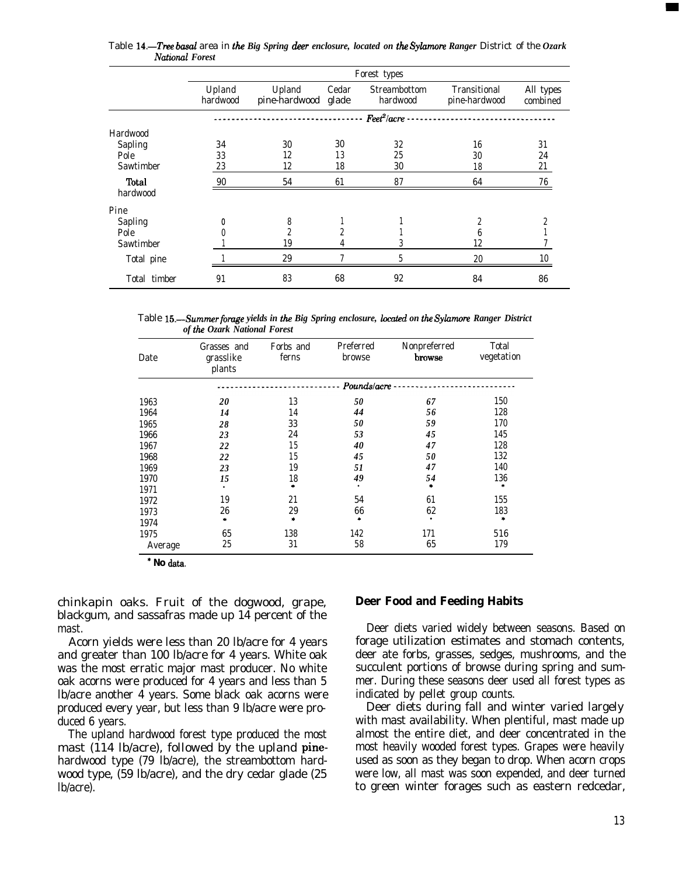|                   | Forest types       |                               |       |                          |                               |                       |
|-------------------|--------------------|-------------------------------|-------|--------------------------|-------------------------------|-----------------------|
|                   | Upland<br>hardwood | Upland<br>pine-hardwood glade | Cedar | Streambottom<br>hardwood | Transitional<br>pine-hardwood | All types<br>combined |
|                   |                    |                               |       | $Fect^2/acre$            |                               |                       |
| Hardwood          |                    |                               |       |                          |                               |                       |
| Sapling           | 34                 | 30                            | 30    | 32                       | 16                            | 31                    |
| Pole              | 33                 | 12                            | 13    | 25                       | 30                            | 24                    |
| Sawtimber         | 23                 | 12                            | 18    | 30                       | 18                            | 21                    |
| Total<br>hardwood | 90                 | 54                            | 61    | 87                       | 64                            | 76                    |
|                   |                    |                               |       |                          |                               |                       |
| Pine              |                    |                               |       |                          |                               |                       |
| Sapling           | 0                  | 8                             |       |                          | $\overline{c}$                | 2                     |
| Pole              |                    |                               | 2     |                          | 6                             |                       |
| Sawtimber         |                    | 19                            |       |                          | 12                            |                       |
| Total pine        |                    | 29                            |       | 5                        | 20                            | 10                    |
| Total timber      | 91                 | 83                            | 68    | 92                       | 84                            | 86                    |

Table 14.—Tree basal area in the Big Spring deer enclosure, located on the Sylamore Ranger District of the Ozark *National Forest*

Table *15.-Summer fomge yields in the Big Spring enclosure, located on the Syhwre Ranger District of he Ozark National Forest*

| Date    | Grasses and<br>grasslike<br>plants | Forbs and<br>ferns | Preferred<br>browse | Nonpreferred<br>browse | Total<br>vegetation |
|---------|------------------------------------|--------------------|---------------------|------------------------|---------------------|
|         |                                    |                    | Pounds/acre         |                        |                     |
| 1963    | 20                                 | 13                 | 50                  | 67                     | 150                 |
| 1964    | 14                                 | 14                 | 44                  | 56                     | 128                 |
| 1965    | 28                                 | 33                 | 50                  | 59                     | 170                 |
| 1966    | 23                                 | 24                 | 53                  | 45                     | 145                 |
| 1967    | 22                                 | 15                 | 40                  | 47                     | 128                 |
| 1968    | 22                                 | 15                 | 45                  | 50                     | 132                 |
| 1969    | 23                                 | 19                 | 51                  | 47                     | 140                 |
| 1970    | 15                                 | 18                 | 49                  | 54                     | 136                 |
| 1971    | ٠                                  | a.                 | ٠                   | ۰.                     | *                   |
| 1972    | 19                                 | 21                 | 54                  | 61                     | 155                 |
| 1973    | 26                                 | 29                 | 66                  | 62                     | 183                 |
| 1974    | ÷                                  | ۰                  | ۰                   | $\bullet$              | *                   |
| 1975    | 65                                 | 138                | 142                 | 171                    | 516                 |
| Average | 25                                 | 31                 | 58                  | 65                     | 179                 |

\* **No** data.

chinkapin oaks. Fruit of the dogwood, grape, blackgum, and sassafras made up 14 percent of the mast.

Acorn yields were less than 20 lb/acre for 4 years and greater than 100 lb/acre for 4 years. White oak was the most erratic major mast producer. No white oak acorns were produced for 4 years and less than 5 lb/acre another 4 years. Some black oak acorns were produced every year, but less than 9 lb/acre were produced 6 years.

The upland hardwood forest type produced the most mast (114 lb/acre), followed by the upland pinehardwood type (79 lb/acre), the streambottom hardwood type, (59 lb/acre), and the dry cedar glade (25 lb/acre).

## **Deer Food and Feeding Habits**

Deer diets varied widely between seasons. Based on forage utilization estimates and stomach contents, deer ate forbs, grasses, sedges, mushrooms, and the succulent portions of browse during spring and summer. During these seasons deer used all forest types as indicated by pellet group counts.

Deer diets during fall and winter varied largely with mast availability. When plentiful, mast made up almost the entire diet, and deer concentrated in the most heavily wooded forest types. Grapes were heavily used as soon as they began to drop. When acorn crops were low, all mast was soon expended, and deer turned to green winter forages such as eastern redcedar,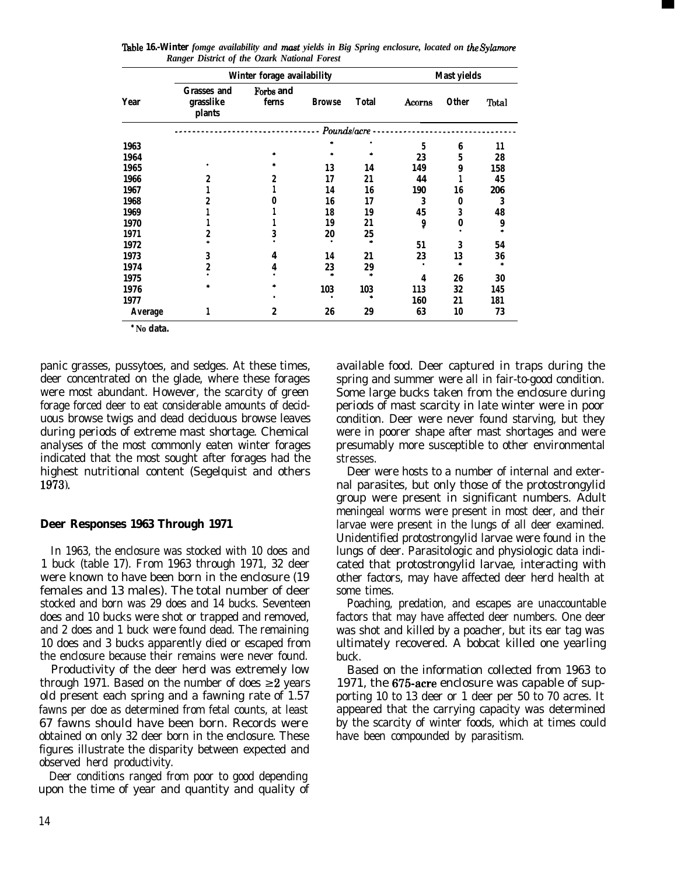|         | Winter forage availability                |                    |               |        | Mast yields |       |       |
|---------|-------------------------------------------|--------------------|---------------|--------|-------------|-------|-------|
| Year    | <b>Grasses and</b><br>grasslike<br>plants | Forbs and<br>ferns | <b>Browse</b> | Total  | Acorns      | Other | Total |
|         |                                           |                    | Pounds/acre   |        |             |       |       |
| 1963    |                                           |                    |               |        | 5           | 6     | 11    |
| 1964    |                                           |                    |               |        | 23          | 5     | 28    |
| 1965    |                                           |                    | 13            | 14     | 149         | 9     | 158   |
| 1966    | 2                                         | 2                  | 17            | 21     | 44          |       | 45    |
| 1967    |                                           |                    | 14            | 16     | 190         | 16    | 206   |
| 1968    |                                           |                    | 16            | 17     | 3           | 0     | 3     |
| 1969    |                                           |                    | 18            | 19     | 45          | 3     | 48    |
| 1970    |                                           |                    | 19            | 21     | 9           | 0     | 9     |
| 1971    | 2                                         | 3                  | 20            | 25     |             |       |       |
| 1972    |                                           |                    |               |        | 51          | 3     | 54    |
| 1973    | 3                                         | 4                  | 14            | 21     | 23          | 13    | 36    |
| 1974    | 2                                         | 4                  | 23            | 29     |             |       | *     |
| 1975    |                                           |                    |               | $\ast$ | 4           | 26    | 30    |
| 1976    |                                           |                    | 103           | 103    | 113         | 32    | 145   |
| 1977    |                                           |                    |               |        | 160         | 21    | 181   |
| Average | 1                                         | 2                  | 26            | 29     | 63          | 10    | 73    |

**l'hble 16.-Winter** *fomge availability and mast yields in Big Spring enclosure, located on the Sylummv Ranger District of the Ozark National Forest*

\* **No data.**

panic grasses, pussytoes, and sedges. At these times, deer concentrated on the glade, where these forages were most abundant. However, the scarcity of green forage forced deer to eat considerable amounts of deciduous browse twigs and dead deciduous browse leaves during periods of extreme mast shortage. Chemical analyses of the most commonly eaten winter forages indicated that the most sought after forages had the highest nutritional content (Segelquist and others 1973).

## **Deer Responses 1963 Through 1971**

In 1963, the enclosure was stocked with 10 does and 1 buck (table 17). From 1963 through 1971, 32 deer were known to have been born in the enclosure (19 females and 13 males). The total number of deer stocked and born was 29 does and 14 bucks. Seventeen does and 10 bucks were shot or trapped and removed, and 2 does and 1 buck were found dead. The remaining 10 does and 3 bucks apparently died or escaped from the enclosure because their remains were never found.

Productivity of the deer herd was extremely low through 1971. Based on the number of does  $\geq 2$  years old present each spring and a fawning rate of 1.57 fawns per doe as determined from fetal counts, at least 67 fawns should have been born. Records were obtained on only 32 deer born in the enclosure. These figures illustrate the disparity between expected and observed herd productivity.

Deer conditions ranged from poor to good depending upon the time of year and quantity and quality of available food. Deer captured in traps during the spring and summer were all in fair-to-good condition. Some large bucks taken from the enclosure during periods of mast scarcity in late winter were in poor condition. Deer were never found starving, but they were in poorer shape after mast shortages and were presumably more susceptible to other environmental stresses.

Deer were hosts to a number of internal and external parasites, but only those of the protostrongylid group were present in significant numbers. Adult meningeal worms were present in most deer, and their larvae were present in the lungs of all deer examined. Unidentified protostrongylid larvae were found in the lungs of deer. Parasitologic and physiologic data indicated that protostrongylid larvae, interacting with other factors, may have affected deer herd health at some times.

Poaching, predation, and escapes are unaccountable factors that may have affected deer numbers. One deer was shot and killed by a poacher, but its ear tag was ultimately recovered. A bobcat killed one yearling buck.

Based on the information collected from 1963 to 1971, the 675-acre enclosure was capable of supporting 10 to 13 deer or 1 deer per 50 to 70 acres. It appeared that the carrying capacity was determined by the scarcity of winter foods, which at times could have been compounded by parasitism.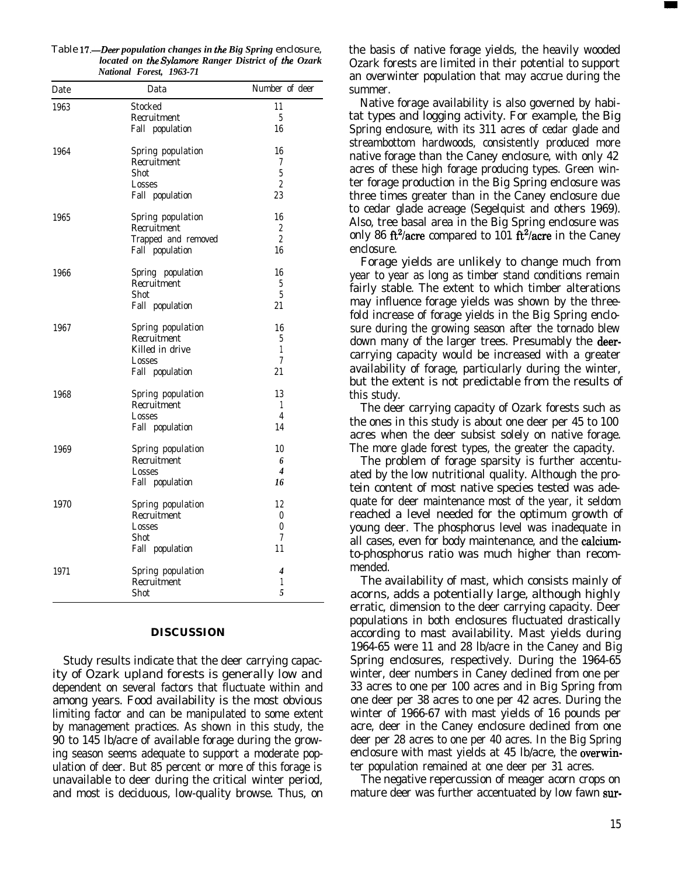| Date | Data                | Number of deer           |
|------|---------------------|--------------------------|
| 1963 | Stocked             | 11                       |
|      | Recruitment         | 5                        |
|      | Fall population     | 16                       |
| 1964 | Spring population   | 16                       |
|      | Recruitment         | 7                        |
|      | Shot                | $\overline{5}$           |
|      | Losses              | $\overline{c}$           |
|      | Fall population     | 23                       |
| 1965 | Spring population   | 16                       |
|      | Recruitment         | 2                        |
|      | Trapped and removed | $\overline{2}$           |
|      | Fall population     | 16                       |
| 1966 | Spring population   | 16                       |
|      | Recruitment         | 5                        |
|      | Shot                | $\overline{5}$           |
|      | Fall population     | 21                       |
| 1967 | Spring population   | 16                       |
|      | Recruitment         | 5                        |
|      | Killed in drive     | 1                        |
|      | Losses              | 7                        |
|      | Fall population     | 21                       |
| 1968 | Spring population   | 13                       |
|      | Recruitment         | 1                        |
|      | Losses              | 4                        |
|      | Fall population     | 14                       |
| 1969 | Spring population   | 10                       |
|      | Recruitment         | 6                        |
|      | Losses              | $\overline{\mathcal{A}}$ |
|      | Fall population     | 16                       |
| 1970 | Spring population   | 12                       |
|      | Recruitment         | $\theta$                 |
|      | Losses              | $\theta$                 |
|      | Shot                | 7                        |
|      | Fall population     | 11                       |
| 1971 | Spring population   | 4                        |
|      | Recruitment         | 1                        |
|      | Shot                | 5                        |

#### Table 17.-Deer *population changes in the Big Spring* enclosure, *located on the Syhnore Ranger District of the Ozark National Forest, 1963-71*

## **DISCUSSION**

Study results indicate that the deer carrying capacity of Ozark upland forests is generally low and dependent on several factors that fluctuate within and among years. Food availability is the most obvious limiting factor and can be manipulated to some extent by management practices. As shown in this study, the 90 to 145 lb/acre of available forage during the growing season seems adequate to support a moderate population of deer. But 85 percent or more of this forage is unavailable to deer during the critical winter period, and most is deciduous, low-quality browse. Thus, on the basis of native forage yields, the heavily wooded Ozark forests are limited in their potential to support an overwinter population that may accrue during the summer.

Native forage availability is also governed by habitat types and logging activity. For example, the Big Spring enclosure, with its 311 acres of cedar glade and streambottom hardwoods, consistently produced more native forage than the Caney enclosure, with only 42 acres of these high forage producing types. Green winter forage production in the Big Spring enclosure was three times greater than in the Caney enclosure due to cedar glade acreage (Segelquist and others 1969). Also, tree basal area in the Big Spring enclosure was only 86 ft<sup>2</sup>/acre compared to 101 ft<sup>2</sup>/acre in the Caney enclosure.

Forage yields are unlikely to change much from year to year as long as timber stand conditions remain fairly stable. The extent to which timber alterations may influence forage yields was shown by the threefold increase of forage yields in the Big Spring enclosure during the growing season after the tornado blew down many of the larger trees. Presumably the deercarrying capacity would be increased with a greater availability of forage, particularly during the winter, but the extent is not predictable from the results of this study.

The deer carrying capacity of Ozark forests such as the ones in this study is about one deer per 45 to 100 acres when the deer subsist solely on native forage. The more glade forest types, the greater the capacity.

The problem of forage sparsity is further accentuated by the low nutritional quality. Although the protein content of most native species tested was adequate for deer maintenance most of the year, it seldom reached a level needed for the optimum growth of young deer. The phosphorus level was inadequate in all cases, even for body maintenance, and the calciumto-phosphorus ratio was much higher than recommended.

The availability of mast, which consists mainly of acorns, adds a potentially large, although highly erratic, dimension to the deer carrying capacity. Deer populations in both enclosures fluctuated drastically according to mast availability. Mast yields during 1964-65 were 11 and 28 lb/acre in the Caney and Big Spring enclosures, respectively. During the 1964-65 winter, deer numbers in Caney declined from one per 33 acres to one per 100 acres and in Big Spring from one deer per 38 acres to one per 42 acres. During the winter of 1966-67 with mast yields of 16 pounds per acre, deer in the Caney enclosure declined from one deer per 28 acres to one per 40 acres. In the Big Spring enclosure with mast yields at 45 lb/acre, the overwinter population remained at one deer per 31 acres.

The negative repercussion of meager acorn crops on mature deer was further accentuated by low fawn sur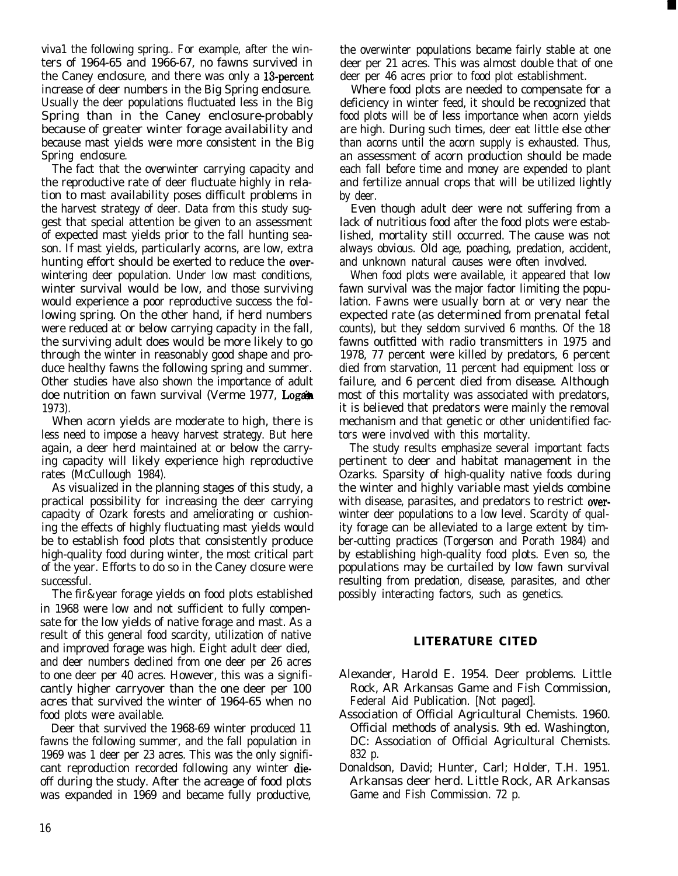viva1 the following spring.. For example, after the winters of 1964-65 and 1966-67, no fawns survived in the Caney enclosure, and there was only a 13-percent increase of deer numbers in the Big Spring enclosure. Usually the deer populations fluctuated less in the Big Spring than in the Caney enclosure-probably because of greater winter forage availability and because mast yields were more consistent in the Big Spring enclosure.

The fact that the overwinter carrying capacity and the reproductive rate of deer fluctuate highly in relation to mast availability poses difficult problems in the harvest strategy of deer. Data from this study suggest that special attention be given to an assessment of expected mast yields prior to the fall hunting season. If mast yields, particularly acorns, are low, extra hunting effort should be exerted to reduce the overwintering deer population. Under low mast conditions, winter survival would be low, and those surviving would experience a poor reproductive success the following spring. On the other hand, if herd numbers were reduced at or below carrying capacity in the fall, the surviving adult does would be more likely to go through the winter in reasonably good shape and produce healthy fawns the following spring and summer. Other studies have also shown the importance of adult doe nutrition on fawn survival (Verme 1977, Logan 1973).

When acorn yields are moderate to high, there is less need to impose a heavy harvest strategy. But here again, a deer herd maintained at or below the carrying capacity will likely experience high reproductive rates (McCullough 1984).

As visualized in the planning stages of this study, a practical possibility for increasing the deer carrying capacity of Ozark forests and ameliorating or cushioning the effects of highly fluctuating mast yields would be to establish food plots that consistently produce high-quality food during winter, the most critical part of the year. Efforts to do so in the Caney closure were successful.

The fir&year forage yields on food plots established in 1968 were low and not sufficient to fully compensate for the low yields of native forage and mast. As a result of this general food scarcity, utilization of native and improved forage was high. Eight adult deer died, and deer numbers declined from one deer per 26 acres to one deer per 40 acres. However, this was a significantly higher carryover than the one deer per 100 acres that survived the winter of 1964-65 when no food plots were available.

Deer that survived the 1968-69 winter produced 11 fawns the following summer, and the fall population in 1969 was 1 deer per 23 acres. This was the only significant reproduction recorded following any winter dieoff during the study. After the acreage of food plots was expanded in 1969 and became fully productive, the overwinter populations became fairly stable at one deer per 21 acres. This was almost double that of one deer per 46 acres prior to food plot establishment.

Where food plots are needed to compensate for a deficiency in winter feed, it should be recognized that food plots will be of less importance when acorn yields are high. During such times, deer eat little else other than acorns until the acorn supply is exhausted. Thus, an assessment of acorn production should be made each fall before time and money are expended to plant and fertilize annual crops that will be utilized lightly by deer.

Even though adult deer were not suffering from a lack of nutritious food after the food plots were established, mortality still occurred. The cause was not always obvious. Old age, poaching, predation, accident, and unknown natural causes were often involved.

When food plots were available, it appeared that low fawn survival was the major factor limiting the population. Fawns were usually born at or very near the expected rate (as determined from prenatal fetal counts), but they seldom survived 6 months. Of the 18 fawns outfitted with radio transmitters in 1975 and 1978, 77 percent were killed by predators, 6 percent died from starvation, 11 percent had equipment loss or failure, and 6 percent died from disease. Although most of this mortality was associated with predators, it is believed that predators were mainly the removal mechanism and that genetic or other unidentified factors were involved with this mortality.

The study results emphasize several important facts pertinent to deer and habitat management in the Ozarks. Sparsity of high-quality native foods during the winter and highly variable mast yields combine with disease, parasites, and predators to restrict overwinter deer populations to a low level. Scarcity of quality forage can be alleviated to a large extent by timber-cutting practices (Torgerson and Porath 1984) and by establishing high-quality food plots. Even so, the populations may be curtailed by low fawn survival resulting from predation, disease, parasites, and other possibly interacting factors, such as genetics.

## **LITERATURE CITED**

- Alexander, Harold E. 1954. Deer problems. Little Rock, AR Arkansas Game and Fish Commission, Federal Aid Publication. [Not paged].
- Association of Official Agricultural Chemists. 1960. Official methods of analysis. 9th ed. Washington, DC: Association of Official Agricultural Chemists. 832 p.
- Donaldson, David; Hunter, Carl; Holder, T.H. 1951. Arkansas deer herd. Little Rock, AR Arkansas Game and Fish Commission. 72 p.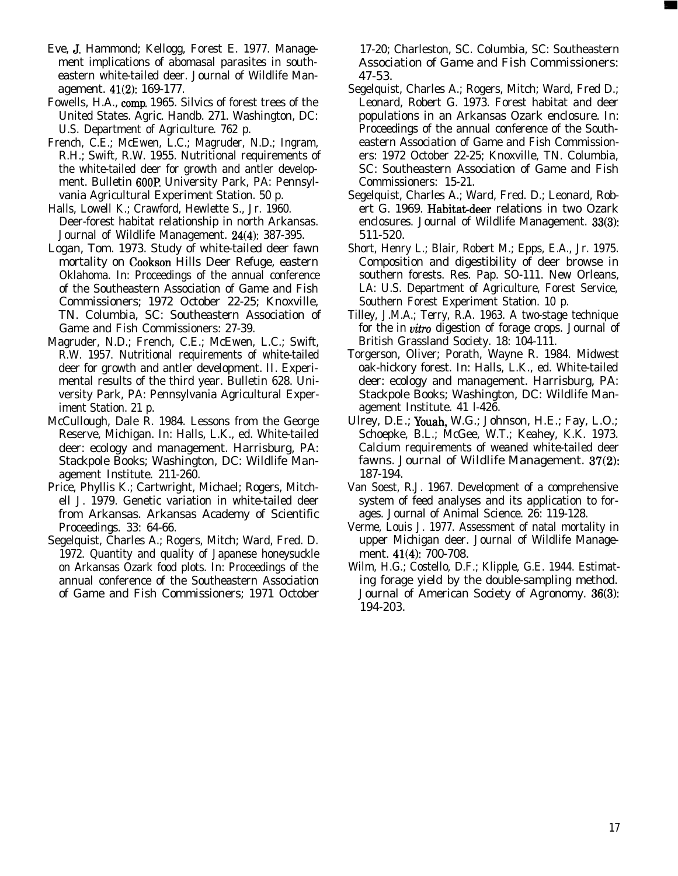- Eve, J. Hammond; Kellogg, Forest E. 1977. Management implications of abomasal parasites in southeastern white-tailed deer. Journal of Wildlife Management. 41(2): 169-177.
- Fowells, H.A., camp. 1965. Silvics of forest trees of the United States. Agric. Handb. 271. Washington, DC: U.S. Department of Agriculture. 762 p.
- French, C.E.; McEwen, L.C.; Magruder, N.D.; Ingram, R.H.; Swift, R.W. 1955. Nutritional requirements of the white-tailed deer for growth and antler development. Bulletin 6OOP University Park, PA: Pennsylvania Agricultural Experiment Station. 50 p.
- Halls, Lowell K.; Crawford, Hewlette S., Jr. 1960. Deer-forest habitat relationship in north Arkansas. Journal of Wildlife Management. 24(4): 387-395.
- Logan, Tom. 1973. Study of white-tailed deer fawn mortality on Cookson Hills Deer Refuge, eastern Oklahoma. In: Proceedings of the annual conference of the Southeastern Association of Game and Fish Commissioners; 1972 October 22-25; Knoxville, TN. Columbia, SC: Southeastern Association of Game and Fish Commissioners: 27-39.
- Magruder, N.D.; French, C.E.; McEwen, L.C.; Swift, R.W. 1957. Nutritional requirements of white-tailed deer for growth and antler development. II. Experimental results of the third year. Bulletin 628. University Park, PA: Pennsylvania Agricultural Experiment Station. 21 p.
- McCullough, Dale R. 1984. Lessons from the George Reserve, Michigan. In: Halls, L.K., ed. White-tailed deer: ecology and management. Harrisburg, PA: Stackpole Books; Washington, DC: Wildlife Management Institute. 211-260.
- Price, Phyllis K.; Cartwright, Michael; Rogers, Mitchell J. 1979. Genetic variation in white-tailed deer from Arkansas. Arkansas Academy of Scientific Proceedings. 33: 64-66.
- Segelquist, Charles A.; Rogers, Mitch; Ward, Fred. D. 1972. Quantity and quality of Japanese honeysuckle on Arkansas Ozark food plots. In: Proceedings of the annual conference of the Southeastern Association of Game and Fish Commissioners; 1971 October

17-20; Charleston, SC. Columbia, SC: Southeastern Association of Game and Fish Commissioners: 47-53.

- Segelquist, Charles A.; Rogers, Mitch; Ward, Fred D.; Leonard, Robert G. 1973. Forest habitat and deer populations in an Arkansas Ozark enclosure. In: Proceedings of the annual conference of the Southeastern Association of Game and Fish Commissioners: 1972 October 22-25; Knoxville, TN. Columbia, SC: Southeastern Association of Game and Fish Commissioners: 15-21.
- Segelquist, Charles A.; Ward, Fred. D.; Leonard, Robert G. 1969. Habitat-deer relations in two Ozark enclosures. Journal of Wildlife Management. 33(3): 511-520.
- Short, Henry L.; Blair, Robert M.; Epps, E.A., Jr. 1975. Composition and digestibility of deer browse in southern forests. Res. Pap. SO-111. New Orleans, LA: U.S. Department of Agriculture, Forest Service, Southern Forest Experiment Station. 10 p.
- Tilley, J.M.A.; Terry, R.A. 1963. A two-stage technique for the in vitro digestion of forage crops. Journal of British Grassland Society. 18: 104-111.
- Torgerson, Oliver; Porath, Wayne R. 1984. Midwest oak-hickory forest. In: Halls, L.K., ed. White-tailed deer: ecology and management. Harrisburg, PA: Stackpole Books; Washington, DC: Wildlife Management Institute. 41 l-426.
- Ulrey, D.E.; Youah, W.G.; Johnson, H.E.; Fay, L.O.; Schoepke, B.L.; McGee, W.T.; Keahey, K.K. 1973. Calcium requirements of weaned white-tailed deer fawns. Journal of Wildlife Management. 37(2): 187-194.
- Van Soest, R.J. 1967. Development of a comprehensive system of feed analyses and its application to forages. Journal of Animal Science. 26: 119-128.
- Verme, Louis J. 1977. Assessment of natal mortality in upper Michigan deer. Journal of Wildlife Management. 41(4): 700-708.
- Wilm, H.G.; Costello, D.F.; Klipple, G.E. 1944. Estimating forage yield by the double-sampling method. Journal of American Society of Agronomy. 36(3): 194-203.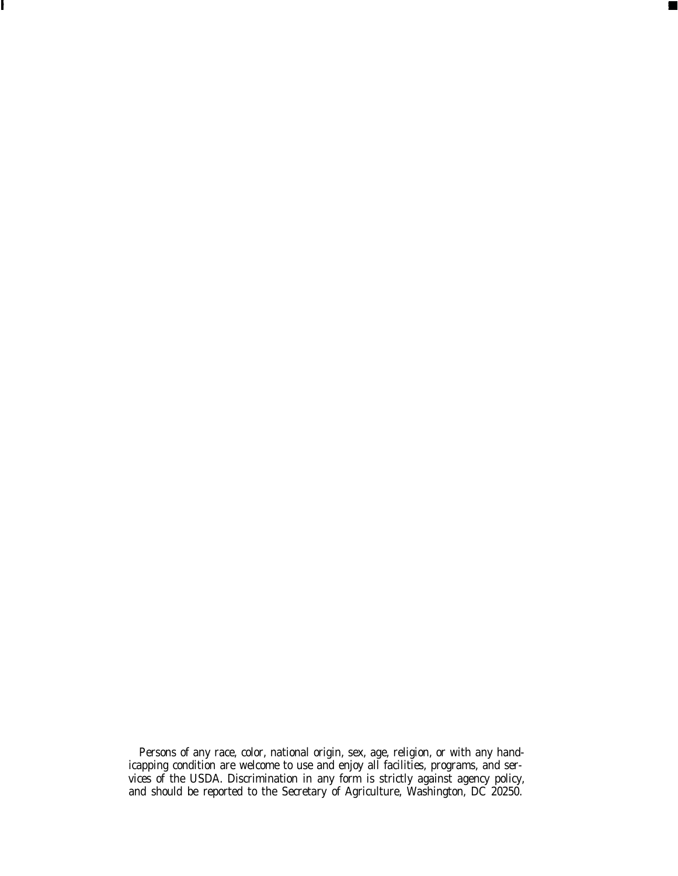Persons of any race, color, national origin, sex, age, religion, or with any handicapping condition are welcome to use and enjoy all facilities, programs, and services of the USDA. Discrimination in any form is strictly against agency policy, and should be reported to the Secretary of Agriculture, Washington, DC 20250.